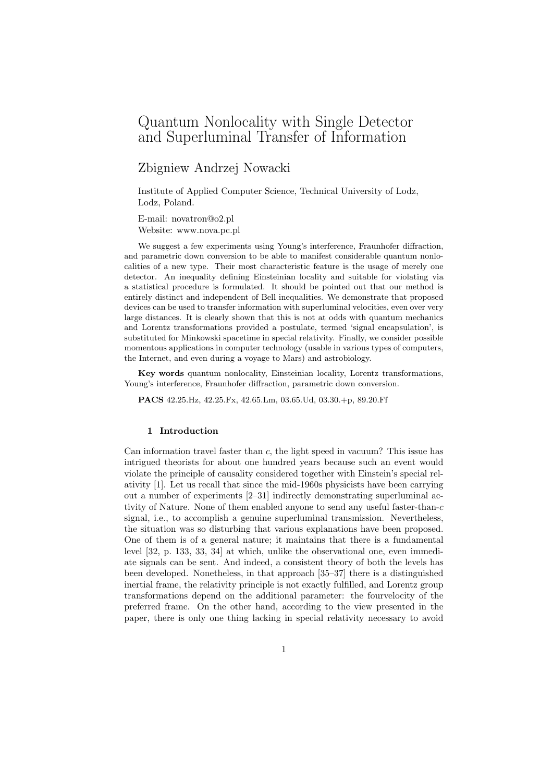# Quantum Nonlocality with Single Detector and Superluminal Transfer of Information

# Zbigniew Andrzej Nowacki

Institute of Applied Computer Science, Technical University of Lodz, Lodz, Poland.

E-mail: novatron@o2.pl Website: www.nova.pc.pl

We suggest a few experiments using Young's interference, Fraunhofer diffraction, and parametric down conversion to be able to manifest considerable quantum nonlocalities of a new type. Their most characteristic feature is the usage of merely one detector. An inequality defining Einsteinian locality and suitable for violating via a statistical procedure is formulated. It should be pointed out that our method is entirely distinct and independent of Bell inequalities. We demonstrate that proposed devices can be used to transfer information with superluminal velocities, even over very large distances. It is clearly shown that this is not at odds with quantum mechanics and Lorentz transformations provided a postulate, termed 'signal encapsulation', is substituted for Minkowski spacetime in special relativity. Finally, we consider possible momentous applications in computer technology (usable in various types of computers, the Internet, and even during a voyage to Mars) and astrobiology.

Key words quantum nonlocality, Einsteinian locality, Lorentz transformations, Young's interference, Fraunhofer diffraction, parametric down conversion.

PACS 42.25.Hz, 42.25.Fx, 42.65.Lm, 03.65.Ud, 03.30.+p, 89.20.Ff

# 1 Introduction

Can information travel faster than  $c$ , the light speed in vacuum? This issue has intrigued theorists for about one hundred years because such an event would violate the principle of causality considered together with Einstein's special relativity [1]. Let us recall that since the mid-1960s physicists have been carrying out a number of experiments [2–31] indirectly demonstrating superluminal activity of Nature. None of them enabled anyone to send any useful faster-than-c signal, i.e., to accomplish a genuine superluminal transmission. Nevertheless, the situation was so disturbing that various explanations have been proposed. One of them is of a general nature; it maintains that there is a fundamental level [32, p. 133, 33, 34] at which, unlike the observational one, even immediate signals can be sent. And indeed, a consistent theory of both the levels has been developed. Nonetheless, in that approach [35–37] there is a distinguished inertial frame, the relativity principle is not exactly fulfilled, and Lorentz group transformations depend on the additional parameter: the fourvelocity of the preferred frame. On the other hand, according to the view presented in the paper, there is only one thing lacking in special relativity necessary to avoid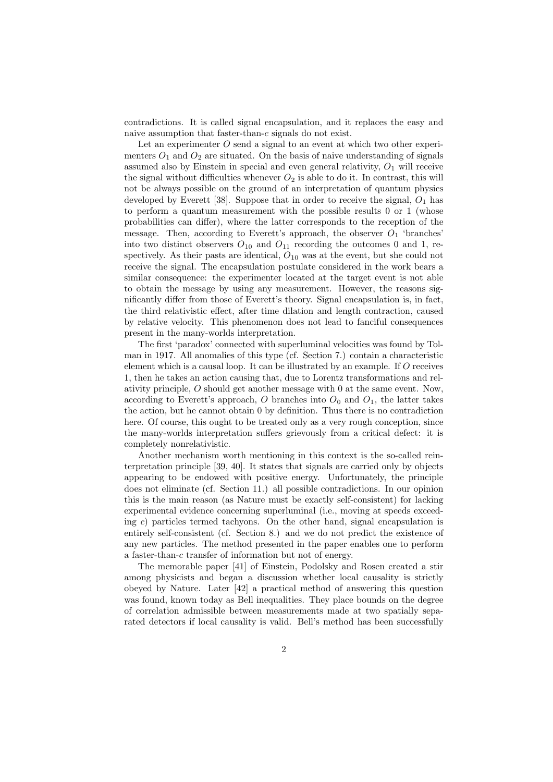contradictions. It is called signal encapsulation, and it replaces the easy and naive assumption that faster-than-c signals do not exist.

Let an experimenter  $O$  send a signal to an event at which two other experimenters  $O_1$  and  $O_2$  are situated. On the basis of naive understanding of signals assumed also by Einstein in special and even general relativity,  $O_1$  will receive the signal without difficulties whenever  $O_2$  is able to do it. In contrast, this will not be always possible on the ground of an interpretation of quantum physics developed by Everett [38]. Suppose that in order to receive the signal,  $O_1$  has to perform a quantum measurement with the possible results 0 or 1 (whose probabilities can differ), where the latter corresponds to the reception of the message. Then, according to Everett's approach, the observer  $O_1$  'branches' into two distinct observers  $O_{10}$  and  $O_{11}$  recording the outcomes 0 and 1, respectively. As their pasts are identical,  $O_{10}$  was at the event, but she could not receive the signal. The encapsulation postulate considered in the work bears a similar consequence: the experimenter located at the target event is not able to obtain the message by using any measurement. However, the reasons significantly differ from those of Everett's theory. Signal encapsulation is, in fact, the third relativistic effect, after time dilation and length contraction, caused by relative velocity. This phenomenon does not lead to fanciful consequences present in the many-worlds interpretation.

The first 'paradox' connected with superluminal velocities was found by Tolman in 1917. All anomalies of this type (cf. Section 7.) contain a characteristic element which is a causal loop. It can be illustrated by an example. If O receives 1, then he takes an action causing that, due to Lorentz transformations and relativity principle, O should get another message with 0 at the same event. Now, according to Everett's approach, O branches into  $O_0$  and  $O_1$ , the latter takes the action, but he cannot obtain 0 by definition. Thus there is no contradiction here. Of course, this ought to be treated only as a very rough conception, since the many-worlds interpretation suffers grievously from a critical defect: it is completely nonrelativistic.

Another mechanism worth mentioning in this context is the so-called reinterpretation principle [39, 40]. It states that signals are carried only by objects appearing to be endowed with positive energy. Unfortunately, the principle does not eliminate (cf. Section 11.) all possible contradictions. In our opinion this is the main reason (as Nature must be exactly self-consistent) for lacking experimental evidence concerning superluminal (i.e., moving at speeds exceeding c) particles termed tachyons. On the other hand, signal encapsulation is entirely self-consistent (cf. Section 8.) and we do not predict the existence of any new particles. The method presented in the paper enables one to perform a faster-than-c transfer of information but not of energy.

The memorable paper [41] of Einstein, Podolsky and Rosen created a stir among physicists and began a discussion whether local causality is strictly obeyed by Nature. Later [42] a practical method of answering this question was found, known today as Bell inequalities. They place bounds on the degree of correlation admissible between measurements made at two spatially separated detectors if local causality is valid. Bell's method has been successfully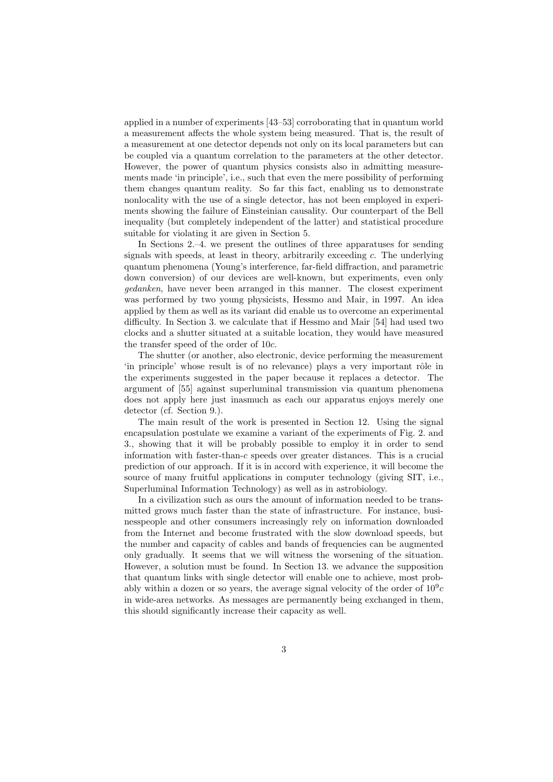applied in a number of experiments [43–53] corroborating that in quantum world a measurement affects the whole system being measured. That is, the result of a measurement at one detector depends not only on its local parameters but can be coupled via a quantum correlation to the parameters at the other detector. However, the power of quantum physics consists also in admitting measurements made 'in principle', i.e., such that even the mere possibility of performing them changes quantum reality. So far this fact, enabling us to demonstrate nonlocality with the use of a single detector, has not been employed in experiments showing the failure of Einsteinian causality. Our counterpart of the Bell inequality (but completely independent of the latter) and statistical procedure suitable for violating it are given in Section 5.

In Sections 2.–4. we present the outlines of three apparatuses for sending signals with speeds, at least in theory, arbitrarily exceeding  $c$ . The underlying quantum phenomena (Young's interference, far-field diffraction, and parametric down conversion) of our devices are well-known, but experiments, even only gedanken, have never been arranged in this manner. The closest experiment was performed by two young physicists, Hessmo and Mair, in 1997. An idea applied by them as well as its variant did enable us to overcome an experimental difficulty. In Section 3. we calculate that if Hessmo and Mair [54] had used two clocks and a shutter situated at a suitable location, they would have measured the transfer speed of the order of 10c.

The shutter (or another, also electronic, device performing the measurement 'in principle' whose result is of no relevance) plays a very important rôle in the experiments suggested in the paper because it replaces a detector. The argument of [55] against superluminal transmission via quantum phenomena does not apply here just inasmuch as each our apparatus enjoys merely one detector (cf. Section 9.).

The main result of the work is presented in Section 12. Using the signal encapsulation postulate we examine a variant of the experiments of Fig. 2. and 3., showing that it will be probably possible to employ it in order to send information with faster-than-c speeds over greater distances. This is a crucial prediction of our approach. If it is in accord with experience, it will become the source of many fruitful applications in computer technology (giving SIT, i.e., Superluminal Information Technology) as well as in astrobiology.

In a civilization such as ours the amount of information needed to be transmitted grows much faster than the state of infrastructure. For instance, businesspeople and other consumers increasingly rely on information downloaded from the Internet and become frustrated with the slow download speeds, but the number and capacity of cables and bands of frequencies can be augmented only gradually. It seems that we will witness the worsening of the situation. However, a solution must be found. In Section 13. we advance the supposition that quantum links with single detector will enable one to achieve, most probably within a dozen or so years, the average signal velocity of the order of  $10^9c$ in wide-area networks. As messages are permanently being exchanged in them, this should significantly increase their capacity as well.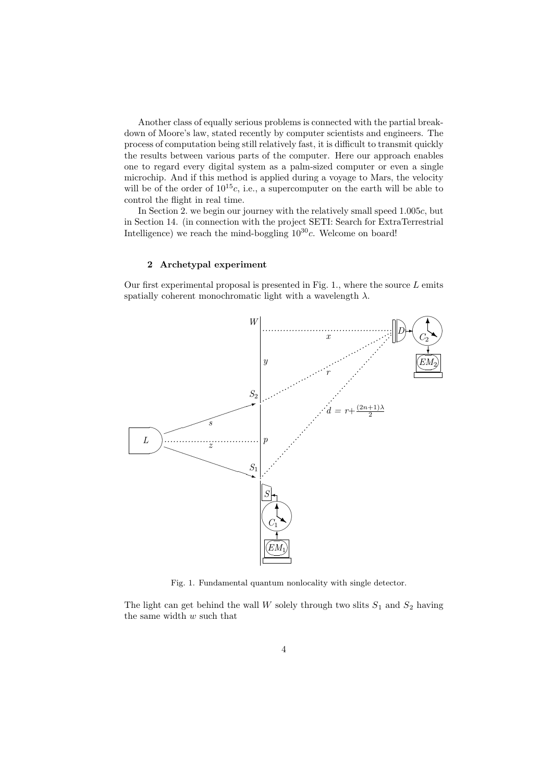Another class of equally serious problems is connected with the partial breakdown of Moore's law, stated recently by computer scientists and engineers. The process of computation being still relatively fast, it is difficult to transmit quickly the results between various parts of the computer. Here our approach enables one to regard every digital system as a palm-sized computer or even a single microchip. And if this method is applied during a voyage to Mars, the velocity will be of the order of  $10^{15}c$ , i.e., a supercomputer on the earth will be able to control the flight in real time.

In Section 2. we begin our journey with the relatively small speed 1.005c, but in Section 14. (in connection with the project SETI: Search for ExtraTerrestrial Intelligence) we reach the mind-boggling  $10^{30}c$ . Welcome on board!

# 2 Archetypal experiment

Our first experimental proposal is presented in Fig. 1., where the source  $L$  emits spatially coherent monochromatic light with a wavelength  $\lambda$ .



Fig. 1. Fundamental quantum nonlocality with single detector.

The light can get behind the wall  $W$  solely through two slits  $S_1$  and  $S_2$  having the same width  $w$  such that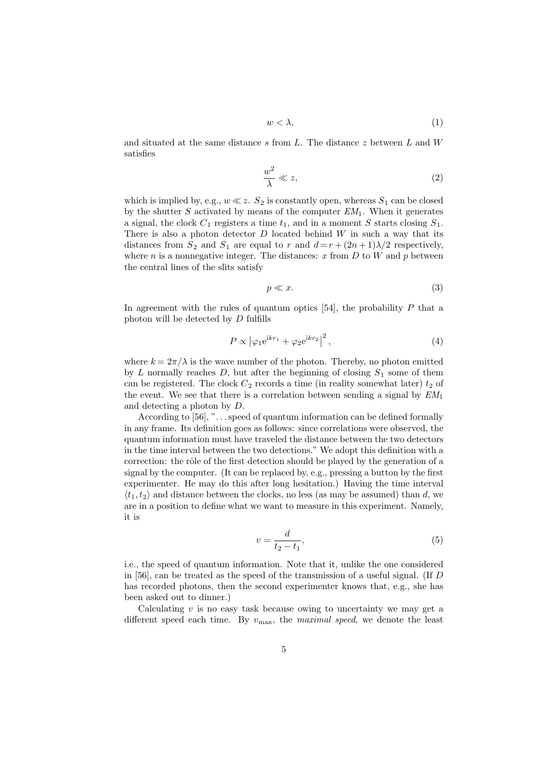$$
w < \lambda,\tag{1}
$$

and situated at the same distance  $s$  from  $L$ . The distance  $z$  between  $L$  and  $W$ satisfies

$$
\frac{w^2}{\lambda} \ll z,\tag{2}
$$

which is implied by, e.g.,  $w \ll z$ .  $S_2$  is constantly open, whereas  $S_1$  can be closed by the shutter  $S$  activated by means of the computer  $EM_1$ . When it generates a signal, the clock  $C_1$  registers a time  $t_1$ , and in a moment S starts closing  $S_1$ . There is also a photon detector  $D$  located behind  $W$  in such a way that its distances from  $S_2$  and  $S_1$  are equal to r and  $d = r + (2n + 1)\lambda/2$  respectively, where  $n$  is a nonnegative integer. The distances:  $x$  from  $D$  to  $W$  and  $p$  between the central lines of the slits satisfy

$$
p \ll x.\tag{3}
$$

In agreement with the rules of quantum optics  $[54]$ , the probability P that a photon will be detected by D fulfills

$$
P \propto \left| \varphi_1 e^{ikr_1} + \varphi_2 e^{ikr_2} \right|^2, \tag{4}
$$

where  $k = 2\pi/\lambda$  is the wave number of the photon. Thereby, no photon emitted by L normally reaches D, but after the beginning of closing  $S_1$  some of them can be registered. The clock  $C_2$  records a time (in reality somewhat later)  $t_2$  of the event. We see that there is a correlation between sending a signal by  $EM_1$ and detecting a photon by D.

According to [56], ". . . speed of quantum information can be defined formally in any frame. Its definition goes as follows: since correlations were observed, the quantum information must have traveled the distance between the two detectors in the time interval between the two detections." We adopt this definition with a correction: the rôle of the first detection should be played by the generation of a signal by the computer. (It can be replaced by, e.g., pressing a button by the first experimenter. He may do this after long hesitation.) Having the time interval  $\langle t_1, t_2 \rangle$  and distance between the clocks, no less (as may be assumed) than d, we are in a position to define what we want to measure in this experiment. Namely, it is

$$
v = \frac{d}{t_2 - t_1},\tag{5}
$$

i.e., the speed of quantum information. Note that it, unlike the one considered in [56], can be treated as the speed of the transmission of a useful signal. (If D has recorded photons, then the second experimenter knows that, e.g., she has been asked out to dinner.)

Calculating  $v$  is no easy task because owing to uncertainty we may get a different speed each time. By  $v_{\text{max}}$ , the maximal speed, we denote the least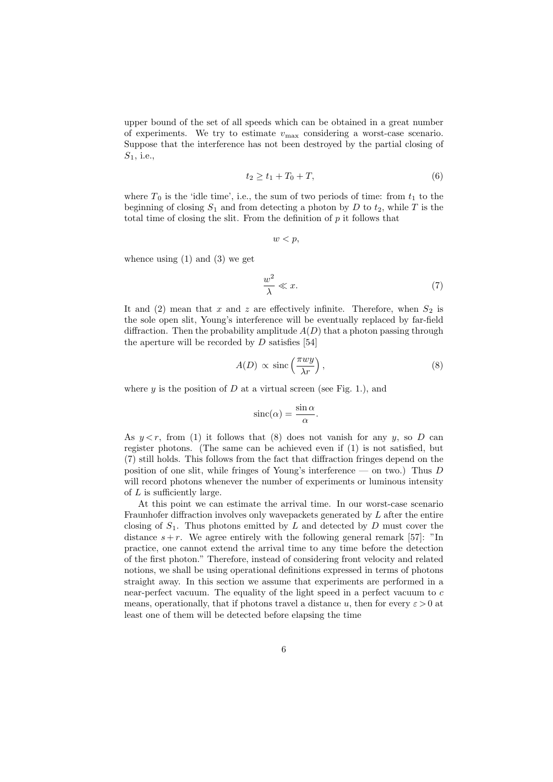upper bound of the set of all speeds which can be obtained in a great number of experiments. We try to estimate  $v_{\text{max}}$  considering a worst-case scenario. Suppose that the interference has not been destroyed by the partial closing of  $S_1$ , i.e.,

$$
t_2 \ge t_1 + T_0 + T,\t\t(6)
$$

where  $T_0$  is the 'idle time', i.e., the sum of two periods of time: from  $t_1$  to the beginning of closing  $S_1$  and from detecting a photon by D to  $t_2$ , while T is the total time of closing the slit. From the definition of  $p$  it follows that

$$
w
$$

whence using  $(1)$  and  $(3)$  we get

$$
\frac{w^2}{\lambda} \ll x.\tag{7}
$$

It and (2) mean that x and z are effectively infinite. Therefore, when  $S_2$  is the sole open slit, Young's interference will be eventually replaced by far-field diffraction. Then the probability amplitude  $A(D)$  that a photon passing through the aperture will be recorded by  $D$  satisfies [54]

$$
A(D) \propto \text{sinc}\left(\frac{\pi wy}{\lambda r}\right),\tag{8}
$$

where  $y$  is the position of  $D$  at a virtual screen (see Fig. 1.), and

$$
\operatorname{sinc}(\alpha) = \frac{\sin \alpha}{\alpha}.
$$

As  $y \leq r$ , from (1) it follows that (8) does not vanish for any y, so D can register photons. (The same can be achieved even if (1) is not satisfied, but (7) still holds. This follows from the fact that diffraction fringes depend on the position of one slit, while fringes of Young's interference — on two.) Thus  $D$ will record photons whenever the number of experiments or luminous intensity of L is sufficiently large.

At this point we can estimate the arrival time. In our worst-case scenario Fraunhofer diffraction involves only wavepackets generated by  $L$  after the entire closing of  $S_1$ . Thus photons emitted by L and detected by D must cover the distance  $s+r$ . We agree entirely with the following general remark [57]: "In practice, one cannot extend the arrival time to any time before the detection of the first photon." Therefore, instead of considering front velocity and related notions, we shall be using operational definitions expressed in terms of photons straight away. In this section we assume that experiments are performed in a near-perfect vacuum. The equality of the light speed in a perfect vacuum to c means, operationally, that if photons travel a distance u, then for every  $\varepsilon > 0$  at least one of them will be detected before elapsing the time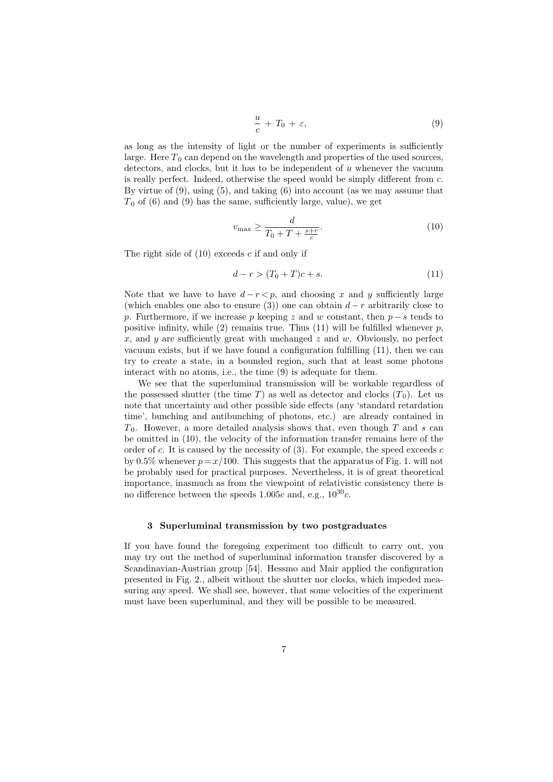$$
\frac{u}{c} + T_0 + \varepsilon, \tag{9}
$$

as long as the intensity of light or the number of experiments is sufficiently large. Here  $T_0$  can depend on the wavelength and properties of the used sources, detectors, and clocks, but it has to be independent of u whenever the vacuum is really perfect. Indeed, otherwise the speed would be simply different from c. By virtue of  $(9)$ , using  $(5)$ , and taking  $(6)$  into account (as we may assume that  $T_0$  of (6) and (9) has the same, sufficiently large, value), we get

$$
v_{\text{max}} \ge \frac{d}{T_0 + T + \frac{s+r}{c}}.\tag{10}
$$

The right side of  $(10)$  exceeds c if and only if

$$
d - r > (T_0 + T)c + s.
$$
 (11)

Note that we have to have  $d-r < p$ , and choosing x and y sufficiently large (which enables one also to ensure (3)) one can obtain  $d-r$  arbitrarily close to p. Furthermore, if we increase p keeping z and w constant, then  $p - s$  tends to positive infinity, while (2) remains true. Thus (11) will be fulfilled whenever  $p$ , x, and y are sufficiently great with unchanged  $z$  and  $w$ . Obviously, no perfect vacuum exists, but if we have found a configuration fulfilling (11), then we can try to create a state, in a bounded region, such that at least some photons interact with no atoms, i.e., the time (9) is adequate for them.

We see that the superluminal transmission will be workable regardless of the possessed shutter (the time T) as well as detector and clocks  $(T_0)$ . Let us note that uncertainty and other possible side effects (any 'standard retardation time', bunching and antibunching of photons, etc.) are already contained in  $T_0$ . However, a more detailed analysis shows that, even though T and s can be omitted in (10), the velocity of the information transfer remains here of the order of c. It is caused by the necessity of  $(3)$ . For example, the speed exceeds c by 0.5% whenever  $p = x/100$ . This suggests that the apparatus of Fig. 1. will not be probably used for practical purposes. Nevertheless, it is of great theoretical importance, inasmuch as from the viewpoint of relativistic consistency there is no difference between the speeds 1.005c and, e.g.,  $10^{30}c$ .

#### 3 Superluminal transmission by two postgraduates

If you have found the foregoing experiment too difficult to carry out, you may try out the method of superluminal information transfer discovered by a Scandinavian-Austrian group [54]. Hessmo and Mair applied the configuration presented in Fig. 2., albeit without the shutter nor clocks, which impeded measuring any speed. We shall see, however, that some velocities of the experiment must have been superluminal, and they will be possible to be measured.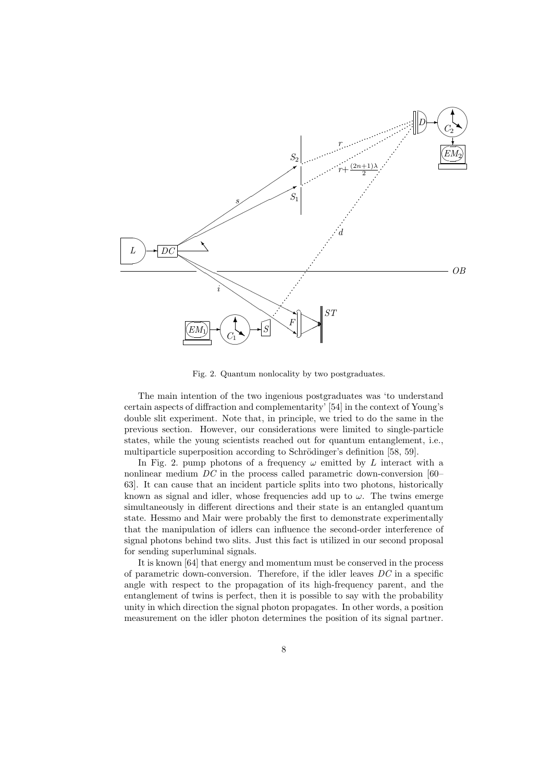

Fig. 2. Quantum nonlocality by two postgraduates.

The main intention of the two ingenious postgraduates was 'to understand certain aspects of diffraction and complementarity' [54] in the context of Young's double slit experiment. Note that, in principle, we tried to do the same in the previous section. However, our considerations were limited to single-particle states, while the young scientists reached out for quantum entanglement, i.e., multiparticle superposition according to Schrödinger's definition [58, 59].

In Fig. 2. pump photons of a frequency  $\omega$  emitted by L interact with a nonlinear medium DC in the process called parametric down-conversion [60– 63]. It can cause that an incident particle splits into two photons, historically known as signal and idler, whose frequencies add up to  $\omega$ . The twins emerge simultaneously in different directions and their state is an entangled quantum state. Hessmo and Mair were probably the first to demonstrate experimentally that the manipulation of idlers can influence the second-order interference of signal photons behind two slits. Just this fact is utilized in our second proposal for sending superluminal signals.

It is known [64] that energy and momentum must be conserved in the process of parametric down-conversion. Therefore, if the idler leaves  $DC$  in a specific angle with respect to the propagation of its high-frequency parent, and the entanglement of twins is perfect, then it is possible to say with the probability unity in which direction the signal photon propagates. In other words, a position measurement on the idler photon determines the position of its signal partner.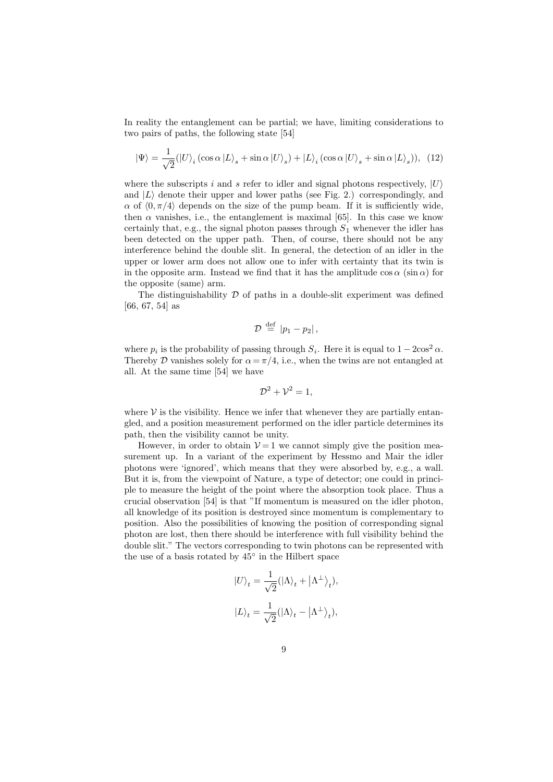In reality the entanglement can be partial; we have, limiting considerations to two pairs of paths, the following state [54]

1

$$
|\Psi\rangle = \frac{1}{\sqrt{2}} (|U\rangle_i (\cos \alpha |L\rangle_s + \sin \alpha |U\rangle_s) + |L\rangle_i (\cos \alpha |U\rangle_s + \sin \alpha |L\rangle_s)), (12)
$$

where the subscripts i and s refer to idler and signal photons respectively,  $|U\rangle$ and  $|L\rangle$  denote their upper and lower paths (see Fig. 2.) correspondingly, and  $\alpha$  of  $\langle 0, \pi/4 \rangle$  depends on the size of the pump beam. If it is sufficiently wide, then  $\alpha$  vanishes, i.e., the entanglement is maximal [65]. In this case we know certainly that, e.g., the signal photon passes through  $S_1$  whenever the idler has been detected on the upper path. Then, of course, there should not be any interference behind the double slit. In general, the detection of an idler in the upper or lower arm does not allow one to infer with certainty that its twin is in the opposite arm. Instead we find that it has the amplitude  $\cos \alpha$  (sin  $\alpha$ ) for the opposite (same) arm.

The distinguishability  $\mathcal D$  of paths in a double-slit experiment was defined [66, 67, 54] as

$$
\mathcal{D} \stackrel{\text{def}}{=} |p_1 - p_2| \,,
$$

where  $p_i$  is the probability of passing through  $S_i$ . Here it is equal to  $1 - 2\cos^2 \alpha$ . Thereby D vanishes solely for  $\alpha = \pi/4$ , i.e., when the twins are not entangled at all. At the same time [54] we have

$$
\mathcal{D}^2 + \mathcal{V}^2 = 1,
$$

where  $V$  is the visibility. Hence we infer that whenever they are partially entangled, and a position measurement performed on the idler particle determines its path, then the visibility cannot be unity.

However, in order to obtain  $V = 1$  we cannot simply give the position measurement up. In a variant of the experiment by Hessmo and Mair the idler photons were 'ignored', which means that they were absorbed by, e.g., a wall. But it is, from the viewpoint of Nature, a type of detector; one could in principle to measure the height of the point where the absorption took place. Thus a crucial observation [54] is that "If momentum is measured on the idler photon, all knowledge of its position is destroyed since momentum is complementary to position. Also the possibilities of knowing the position of corresponding signal photon are lost, then there should be interference with full visibility behind the double slit." The vectors corresponding to twin photons can be represented with the use of a basis rotated by 45◦ in the Hilbert space

$$
\begin{split} |U\rangle_t &= \frac{1}{\sqrt{2}}(|\Lambda\rangle_t + \left| \Lambda^\perp \right\rangle_t), \\ |L\rangle_t &= \frac{1}{\sqrt{2}}(|\Lambda\rangle_t - \left| \Lambda^\perp \right\rangle_t), \end{split}
$$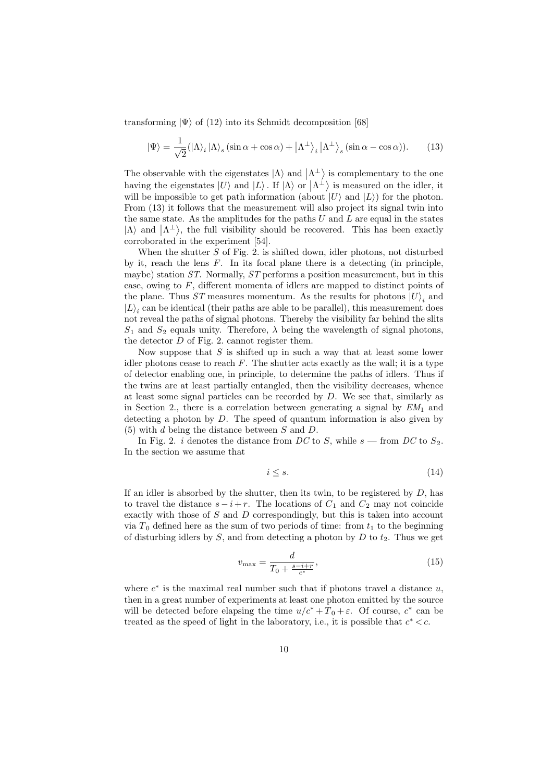transforming  $|\Psi\rangle$  of (12) into its Schmidt decomposition [68]

$$
|\Psi\rangle = \frac{1}{\sqrt{2}} (|\Lambda\rangle_i | \Lambda\rangle_s (\sin \alpha + \cos \alpha) + |\Lambda^{\perp}\rangle_i |\Lambda^{\perp}\rangle_s (\sin \alpha - \cos \alpha)).
$$
 (13)

The observable with the eigenstates  $|\Lambda\rangle$  and  $|\Lambda^{\perp}\rangle$  is complementary to the one having the eigenstates  $|U\rangle$  and  $|L\rangle$ . If  $|\Lambda\rangle$  or  $|\Lambda^{\perp}\rangle$  is measured on the idler, it will be impossible to get path information (about  $|U\rangle$  and  $|L\rangle$ ) for the photon. From (13) it follows that the measurement will also project its signal twin into the same state. As the amplitudes for the paths  $U$  and  $L$  are equal in the states  $|\Lambda\rangle$  and  $|\Lambda^{\perp}\rangle$ , the full visibility should be recovered. This has been exactly corroborated in the experiment [54].

When the shutter  $S$  of Fig. 2. is shifted down, idler photons, not disturbed by it, reach the lens  $F$ . In its focal plane there is a detecting (in principle, maybe) station ST. Normally, ST performs a position measurement, but in this case, owing to  $F$ , different momenta of idlers are mapped to distinct points of the plane. Thus ST measures momentum. As the results for photons  $|U\rangle_i$  and  $|L\rangle_i$  can be identical (their paths are able to be parallel), this measurement does not reveal the paths of signal photons. Thereby the visibility far behind the slits  $S_1$  and  $S_2$  equals unity. Therefore,  $\lambda$  being the wavelength of signal photons, the detector D of Fig. 2. cannot register them.

Now suppose that  $S$  is shifted up in such a way that at least some lower idler photons cease to reach  $F$ . The shutter acts exactly as the wall; it is a type of detector enabling one, in principle, to determine the paths of idlers. Thus if the twins are at least partially entangled, then the visibility decreases, whence at least some signal particles can be recorded by D. We see that, similarly as in Section 2., there is a correlation between generating a signal by  $EM_1$  and detecting a photon by D. The speed of quantum information is also given by (5) with d being the distance between S and D.

In Fig. 2. i denotes the distance from DC to S, while  $s$  — from DC to  $S_2$ . In the section we assume that

$$
i \le s. \tag{14}
$$

If an idler is absorbed by the shutter, then its twin, to be registered by  $D$ , has to travel the distance  $s - i + r$ . The locations of  $C_1$  and  $C_2$  may not coincide exactly with those of S and D correspondingly, but this is taken into account via  $T_0$  defined here as the sum of two periods of time: from  $t_1$  to the beginning of disturbing idlers by  $S$ , and from detecting a photon by  $D$  to  $t_2$ . Thus we get

$$
v_{\text{max}} = \frac{d}{T_0 + \frac{s - i + r}{c^*}},\tag{15}
$$

where  $c^*$  is the maximal real number such that if photons travel a distance  $u$ , then in a great number of experiments at least one photon emitted by the source will be detected before elapsing the time  $u/c^* + T_0 + \varepsilon$ . Of course,  $c^*$  can be treated as the speed of light in the laboratory, i.e., it is possible that  $c^* < c$ .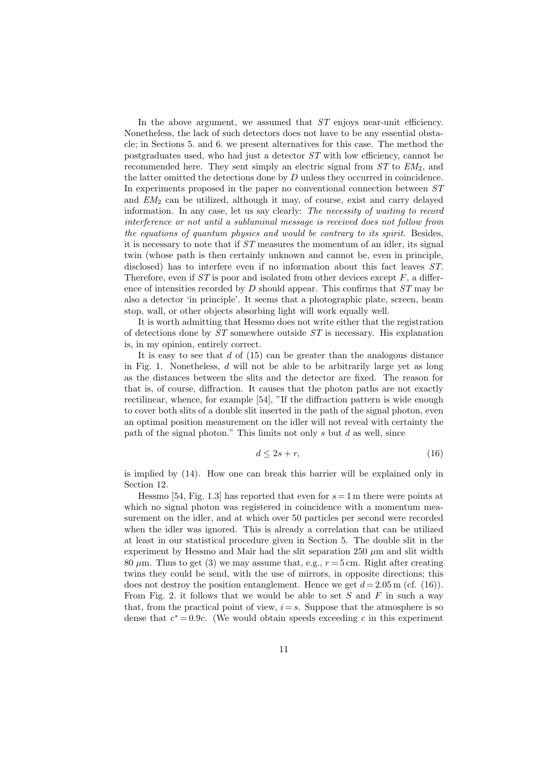In the above argument, we assumed that  $ST$  enjoys near-unit efficiency. Nonetheless, the lack of such detectors does not have to be any essential obstacle; in Sections 5. and 6. we present alternatives for this case. The method the postgraduates used, who had just a detector ST with low efficiency, cannot be recommended here. They sent simply an electric signal from  $ST$  to  $EM<sub>2</sub>$ , and the latter omitted the detections done by  $D$  unless they occurred in coincidence. In experiments proposed in the paper no conventional connection between ST and  $EM<sub>2</sub>$  can be utilized, although it may, of course, exist and carry delayed information. In any case, let us say clearly: The necessity of waiting to record interference or not until a subluminal message is received does not follow from the equations of quantum physics and would be contrary to its spirit. Besides, it is necessary to note that if ST measures the momentum of an idler, its signal twin (whose path is then certainly unknown and cannot be, even in principle, disclosed) has to interfere even if no information about this fact leaves ST. Therefore, even if  $ST$  is poor and isolated from other devices except  $F$ , a difference of intensities recorded by  $D$  should appear. This confirms that  $ST$  may be also a detector 'in principle'. It seems that a photographic plate, screen, beam stop, wall, or other objects absorbing light will work equally well.

It is worth admitting that Hessmo does not write either that the registration of detections done by  $ST$  somewhere outside  $ST$  is necessary. His explanation is, in my opinion, entirely correct.

It is easy to see that  $d$  of  $(15)$  can be greater than the analogous distance in Fig. 1. Nonetheless,  $d$  will not be able to be arbitrarily large yet as long as the distances between the slits and the detector are fixed. The reason for that is, of course, diffraction. It causes that the photon paths are not exactly rectilinear, whence, for example [54], "If the diffraction pattern is wide enough to cover both slits of a double slit inserted in the path of the signal photon, even an optimal position measurement on the idler will not reveal with certainty the path of the signal photon." This limits not only  $s$  but  $d$  as well, since

$$
d \le 2s + r,\tag{16}
$$

is implied by (14). How one can break this barrier will be explained only in Section 12.

Hessmo [54, Fig. 1.3] has reported that even for  $s = 1$  m there were points at which no signal photon was registered in coincidence with a momentum measurement on the idler, and at which over 50 particles per second were recorded when the idler was ignored. This is already a correlation that can be utilized at least in our statistical procedure given in Section 5. The double slit in the experiment by Hessmo and Mair had the slit separation  $250 \mu m$  and slit width 80  $\mu$ m. Thus to get (3) we may assume that, e.g.,  $r = 5$  cm. Right after creating twins they could be send, with the use of mirrors, in opposite directions; this does not destroy the position entanglement. Hence we get  $d = 2.05$  m (cf. (16)). From Fig. 2. it follows that we would be able to set S and F in such a way that, from the practical point of view,  $i = s$ . Suppose that the atmosphere is so dense that  $c^* = 0.9c$ . (We would obtain speeds exceeding c in this experiment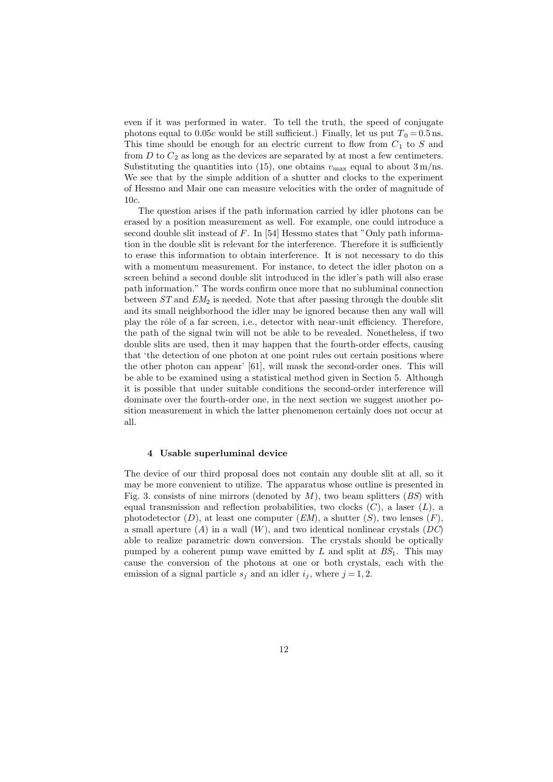even if it was performed in water. To tell the truth, the speed of conjugate photons equal to 0.05c would be still sufficient.) Finally, let us put  $T_0 = 0.5$  ns. This time should be enough for an electric current to flow from  $C_1$  to  $S$  and from  $D$  to  $C_2$  as long as the devices are separated by at most a few centimeters. Substituting the quantities into (15), one obtains  $v_{\text{max}}$  equal to about 3 m/ns. We see that by the simple addition of a shutter and clocks to the experiment of Hessmo and Mair one can measure velocities with the order of magnitude of 10c.

The question arises if the path information carried by idler photons can be erased by a position measurement as well. For example, one could introduce a second double slit instead of F. In [54] Hessmo states that "Only path information in the double slit is relevant for the interference. Therefore it is sufficiently to erase this information to obtain interference. It is not necessary to do this with a momentum measurement. For instance, to detect the idler photon on a screen behind a second double slit introduced in the idler's path will also erase path information." The words confirm once more that no subluminal connection between  $ST$  and  $EM_2$  is needed. Note that after passing through the double slit and its small neighborhood the idler may be ignored because then any wall will play the rôle of a far screen, i.e., detector with near-unit efficiency. Therefore, the path of the signal twin will not be able to be revealed. Nonetheless, if two double slits are used, then it may happen that the fourth-order effects, causing that 'the detection of one photon at one point rules out certain positions where the other photon can appear' [61], will mask the second-order ones. This will be able to be examined using a statistical method given in Section 5. Although it is possible that under suitable conditions the second-order interference will dominate over the fourth-order one, in the next section we suggest another position measurement in which the latter phenomenon certainly does not occur at all.

# 4 Usable superluminal device

The device of our third proposal does not contain any double slit at all, so it may be more convenient to utilize. The apparatus whose outline is presented in Fig. 3. consists of nine mirrors (denoted by  $M$ ), two beam splitters  $(BS)$  with equal transmission and reflection probabilities, two clocks  $(C)$ , a laser  $(L)$ , a photodetector  $(D)$ , at least one computer  $(EM)$ , a shutter  $(S)$ , two lenses  $(F)$ , a small aperture  $(A)$  in a wall  $(W)$ , and two identical nonlinear crystals  $(DC)$ able to realize parametric down conversion. The crystals should be optically pumped by a coherent pump wave emitted by L and split at  $BS_1$ . This may cause the conversion of the photons at one or both crystals, each with the emission of a signal particle  $s_i$  and an idler  $i_j$ , where  $j = 1, 2$ .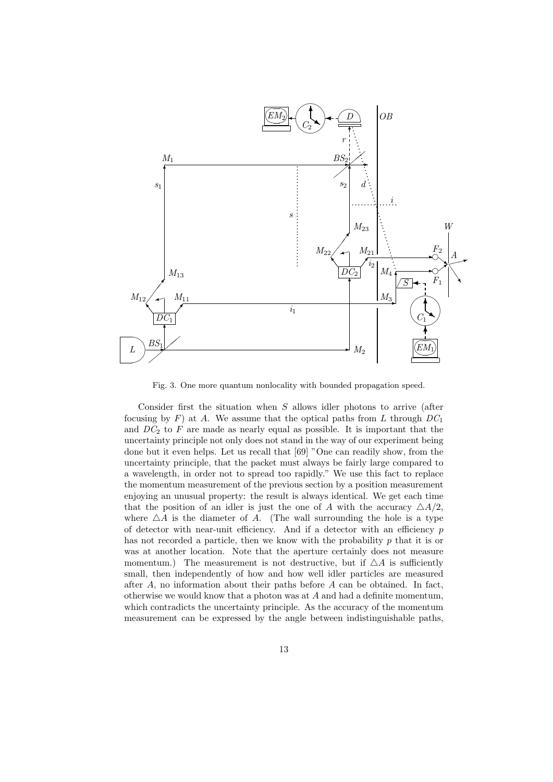

Fig. 3. One more quantum nonlocality with bounded propagation speed.

Consider first the situation when  $S$  allows idler photons to arrive (after focusing by F) at A. We assume that the optical paths from L through  $DC_1$ and  $DC_2$  to F are made as nearly equal as possible. It is important that the uncertainty principle not only does not stand in the way of our experiment being done but it even helps. Let us recall that [69] "One can readily show, from the uncertainty principle, that the packet must always be fairly large compared to a wavelength, in order not to spread too rapidly." We use this fact to replace the momentum measurement of the previous section by a position measurement enjoying an unusual property: the result is always identical. We get each time that the position of an idler is just the one of A with the accuracy  $\triangle A/2$ , where  $\Delta A$  is the diameter of A. (The wall surrounding the hole is a type of detector with near-unit efficiency. And if a detector with an efficiency  $p$ has not recorded a particle, then we know with the probability  $p$  that it is or was at another location. Note that the aperture certainly does not measure momentum.) The measurement is not destructive, but if  $\Delta A$  is sufficiently small, then independently of how and how well idler particles are measured after A, no information about their paths before A can be obtained. In fact, otherwise we would know that a photon was at A and had a definite momentum, which contradicts the uncertainty principle. As the accuracy of the momentum measurement can be expressed by the angle between indistinguishable paths,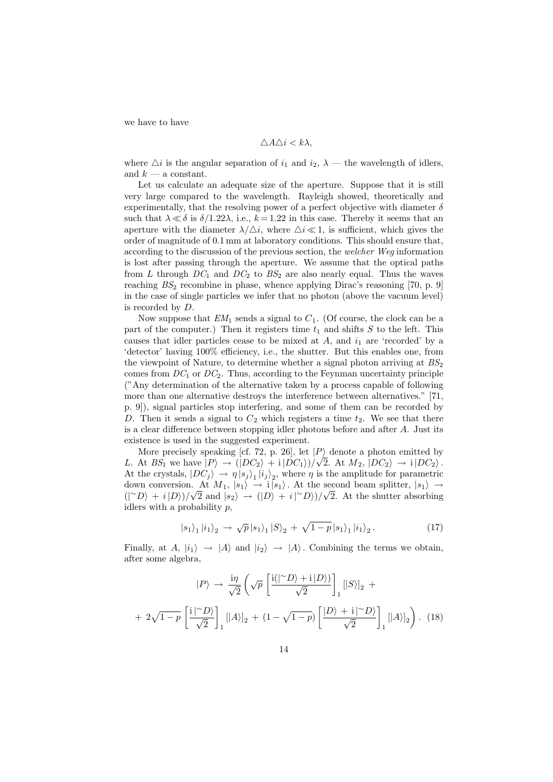we have to have

$$
\triangle A \triangle i < k\lambda,
$$

where  $\Delta i$  is the angular separation of  $i_1$  and  $i_2$ ,  $\lambda$  — the wavelength of idlers, and  $k - a$  constant.

Let us calculate an adequate size of the aperture. Suppose that it is still very large compared to the wavelength. Rayleigh showed, theoretically and experimentally, that the resolving power of a perfect objective with diameter  $\delta$ such that  $\lambda \ll \delta$  is  $\delta/1.22\lambda$ , i.e.,  $k = 1.22$  in this case. Thereby it seems that an aperture with the diameter  $\lambda/\Delta i$ , where  $\Delta i \ll 1$ , is sufficient, which gives the order of magnitude of 0.1 mm at laboratory conditions. This should ensure that, according to the discussion of the previous section, the welcher Weg information is lost after passing through the aperture. We assume that the optical paths from L through  $DC_1$  and  $DC_2$  to  $BS_2$  are also nearly equal. Thus the waves reaching  $BS_2$  recombine in phase, whence applying Dirac's reasoning [70, p. 9] in the case of single particles we infer that no photon (above the vacuum level) is recorded by D.

Now suppose that  $EM_1$  sends a signal to  $C_1$ . (Of course, the clock can be a part of the computer.) Then it registers time  $t_1$  and shifts S to the left. This causes that idler particles cease to be mixed at  $A$ , and  $i_1$  are 'recorded' by a 'detector' having 100% efficiency, i.e., the shutter. But this enables one, from the viewpoint of Nature, to determine whether a signal photon arriving at  $BS_2$ comes from  $DC_1$  or  $DC_2$ . Thus, according to the Feynman uncertainty principle ("Any determination of the alternative taken by a process capable of following more than one alternative destroys the interference between alternatives." [71, p. 9]), signal particles stop interfering, and some of them can be recorded by D. Then it sends a signal to  $C_2$  which registers a time  $t_2$ . We see that there is a clear difference between stopping idler photons before and after A. Just its existence is used in the suggested experiment.

More precisely speaking [cf. 72, p. 26], let  $|P\rangle$  denote a photon emitted by More precisely speaking [cr. *i*2, p. 20], let  $|P\rangle$  denote a photon emitted by<br>*L*. At  $BS_1$  we have  $|P\rangle \rightarrow (|DC_2\rangle + i |DC_1\rangle)/\sqrt{2}$ . At  $M_2$ ,  $|DC_2\rangle \rightarrow i |DC_2\rangle$ . At the crystals,  $|DC_j\rangle \rightarrow \eta |s_j\rangle_1 |i_j\rangle_2$ , where  $\eta$  is the amplitude for parametric down conversion. At  $M_1$ ,  $|s_1\rangle \rightarrow i|s_1\rangle$ . At the second beam splitter,  $|s_1\rangle \rightarrow$ ( $\langle \rangle^{\sim}D \rangle + i |D \rangle / \sqrt{2}$  and  $|s_2 \rangle \rightarrow (|D \rangle + i |D \rangle) / \sqrt{2}$ . At the shutter absorbing idlers with a probability  $p$ ,

$$
|s_1\rangle_1 |i_1\rangle_2 \rightarrow \sqrt{p} |s_1\rangle_1 |S\rangle_2 + \sqrt{1-p} |s_1\rangle_1 |i_1\rangle_2.
$$
 (17)

Finally, at A,  $|i_1\rangle \rightarrow |A\rangle$  and  $|i_2\rangle \rightarrow |A\rangle$ . Combining the terms we obtain, after some algebra,

$$
|P\rangle \rightarrow \frac{i\eta}{\sqrt{2}} \left( \sqrt{p} \left[ \frac{i(|^{\sim}D\rangle + i|D\rangle)}{\sqrt{2}} \right]_1 [|S\rangle]_2 + 2\sqrt{1-p} \left[ \frac{i|^{\sim}D\rangle}{\sqrt{2}} \right]_1 [|A\rangle]_2 + (1 - \sqrt{1-p}) \left[ \frac{|D\rangle + i|^{\sim}D\rangle}{\sqrt{2}} \right]_1 [|A\rangle]_2 \right). \tag{18}
$$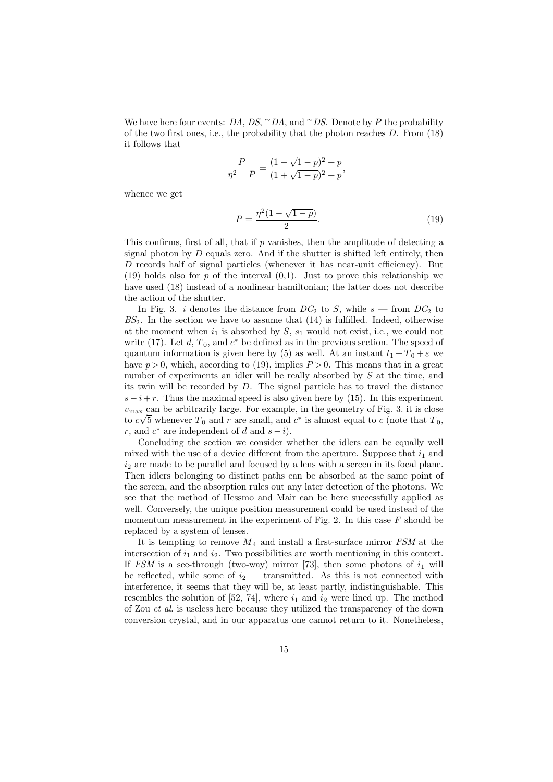We have here four events:  $DA$ ,  $DS$ ,  $\sim DA$ , and  $\sim DS$ . Denote by P the probability of the two first ones, i.e., the probability that the photon reaches  $D$ . From  $(18)$ it follows that

$$
\frac{P}{\eta^2 - P} = \frac{(1 - \sqrt{1 - p})^2 + p}{(1 + \sqrt{1 - p})^2 + p},
$$

whence we get

$$
P = \frac{\eta^2 (1 - \sqrt{1 - p})}{2}.
$$
\n(19)

This confirms, first of all, that if  $p$  vanishes, then the amplitude of detecting a signal photon by  $D$  equals zero. And if the shutter is shifted left entirely, then D records half of signal particles (whenever it has near-unit efficiency). But (19) holds also for p of the interval  $(0,1)$ . Just to prove this relationship we have used (18) instead of a nonlinear hamiltonian; the latter does not describe the action of the shutter.

In Fig. 3. i denotes the distance from  $DC_2$  to S, while  $s$  — from  $DC_2$  to  $BS_2$ . In the section we have to assume that  $(14)$  is fulfilled. Indeed, otherwise at the moment when  $i_1$  is absorbed by S,  $s_1$  would not exist, i.e., we could not write (17). Let  $d, T_0$ , and  $c^*$  be defined as in the previous section. The speed of quantum information is given here by (5) as well. At an instant  $t_1 + T_0 + \varepsilon$  we have  $p > 0$ , which, according to (19), implies  $P > 0$ . This means that in a great number of experiments an idler will be really absorbed by S at the time, and its twin will be recorded by  $D$ . The signal particle has to travel the distance  $s - i + r$ . Thus the maximal speed is also given here by (15). In this experiment  $v_{\text{max}}$  can be arbitrarily large. For example, in the geometry of Fig. 3. it is close to  $c\sqrt{5}$  whenever  $T_0$  and r are small, and  $c^*$  is almost equal to c (note that  $T_0$ , r, and  $c^*$  are independent of d and  $s - i$ ).

Concluding the section we consider whether the idlers can be equally well mixed with the use of a device different from the aperture. Suppose that  $i_1$  and  $i_2$  are made to be parallel and focused by a lens with a screen in its focal plane. Then idlers belonging to distinct paths can be absorbed at the same point of the screen, and the absorption rules out any later detection of the photons. We see that the method of Hessmo and Mair can be here successfully applied as well. Conversely, the unique position measurement could be used instead of the momentum measurement in the experiment of Fig. 2. In this case  $F$  should be replaced by a system of lenses.

It is tempting to remove  $M_4$  and install a first-surface mirror  $FSM$  at the intersection of  $i_1$  and  $i_2$ . Two possibilities are worth mentioning in this context. If FSM is a see-through (two-way) mirror [73], then some photons of  $i_1$  will be reflected, while some of  $i_2$  — transmitted. As this is not connected with interference, it seems that they will be, at least partly, indistinguishable. This resembles the solution of [52, 74], where  $i_1$  and  $i_2$  were lined up. The method of Zou et al. is useless here because they utilized the transparency of the down conversion crystal, and in our apparatus one cannot return to it. Nonetheless,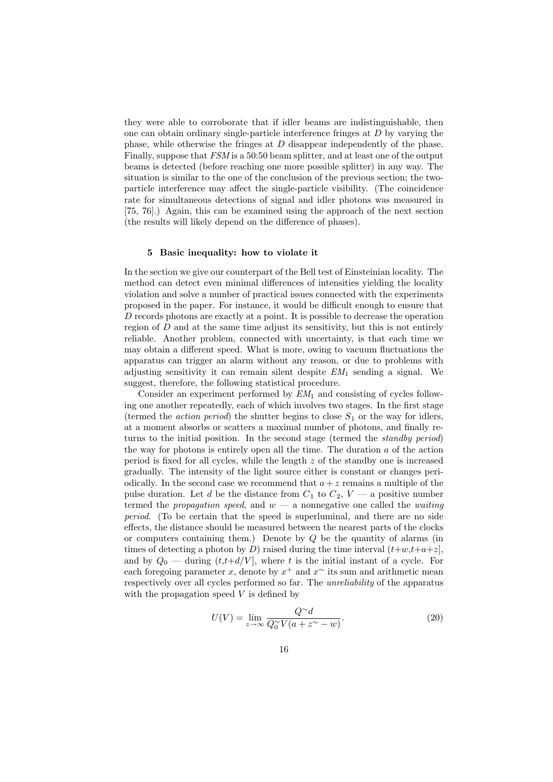they were able to corroborate that if idler beams are indistinguishable, then one can obtain ordinary single-particle interference fringes at D by varying the phase, while otherwise the fringes at D disappear independently of the phase. Finally, suppose that FSM is a 50:50 beam splitter, and at least one of the output beams is detected (before reaching one more possible splitter) in any way. The situation is similar to the one of the conclusion of the previous section; the twoparticle interference may affect the single-particle visibility. (The coincidence rate for simultaneous detections of signal and idler photons was measured in [75, 76].) Again, this can be examined using the approach of the next section (the results will likely depend on the difference of phases).

### 5 Basic inequality: how to violate it

In the section we give our counterpart of the Bell test of Einsteinian locality. The method can detect even minimal differences of intensities yielding the locality violation and solve a number of practical issues connected with the experiments proposed in the paper. For instance, it would be difficult enough to ensure that D records photons are exactly at a point. It is possible to decrease the operation region of  $D$  and at the same time adjust its sensitivity, but this is not entirely reliable. Another problem, connected with uncertainty, is that each time we may obtain a different speed. What is more, owing to vacuum fluctuations the apparatus can trigger an alarm without any reason, or due to problems with adjusting sensitivity it can remain silent despite  $EM_1$  sending a signal. We suggest, therefore, the following statistical procedure.

Consider an experiment performed by  $EM_1$  and consisting of cycles following one another repeatedly, each of which involves two stages. In the first stage (termed the *action period*) the shutter begins to close  $S_1$  or the way for idlers, at a moment absorbs or scatters a maximal number of photons, and finally returns to the initial position. In the second stage (termed the standby period) the way for photons is entirely open all the time. The duration  $a$  of the action period is fixed for all cycles, while the length z of the standby one is increased gradually. The intensity of the light source either is constant or changes periodically. In the second case we recommend that  $a + z$  remains a multiple of the pulse duration. Let d be the distance from  $C_1$  to  $C_2$ ,  $V$  — a positive number termed the propagation speed, and  $w - a$  nonnegative one called the waiting period. (To be certain that the speed is superluminal, and there are no side effects, the distance should be measured between the nearest parts of the clocks or computers containing them.) Denote by  $Q$  be the quantity of alarms (in times of detecting a photon by D) raised during the time interval  $(t+w,t+a+z)$ , and by  $Q_0$  — during  $(t, t+d/V]$ , where t is the initial instant of a cycle. For each foregoing parameter x, denote by  $x^+$  and  $x^{\sim}$  its sum and arithmetic mean respectively over all cycles performed so far. The unreliability of the apparatus with the propagation speed  $V$  is defined by

$$
U(V) = \lim_{z \to \infty} \frac{Q^{\sim} d}{Q_0^{\sim} V(a + z^{\sim} - w)}.
$$
\n(20)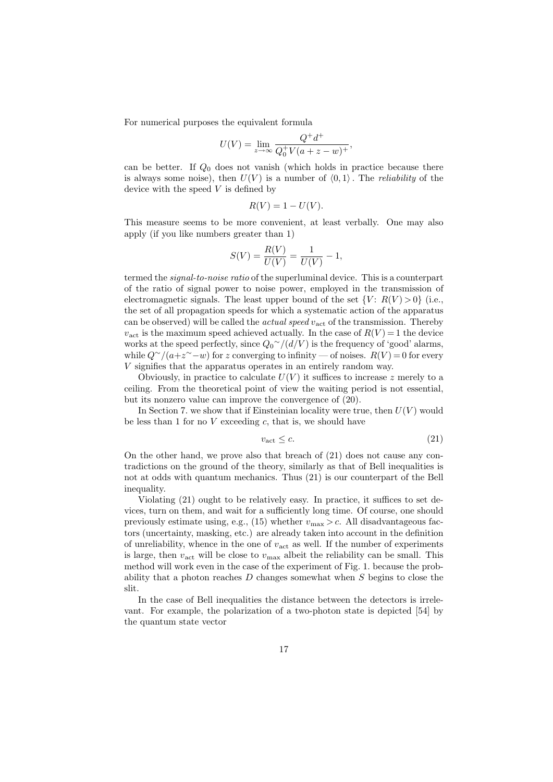For numerical purposes the equivalent formula

$$
U(V) = \lim_{z \to \infty} \frac{Q^+ d^+}{Q_0^+ V (a+z-w)^+},
$$

can be better. If  $Q_0$  does not vanish (which holds in practice because there is always some noise), then  $U(V)$  is a number of  $\langle 0, 1 \rangle$ . The *reliability* of the device with the speed  $V$  is defined by

$$
R(V) = 1 - U(V).
$$

This measure seems to be more convenient, at least verbally. One may also apply (if you like numbers greater than 1)

$$
S(V) = \frac{R(V)}{U(V)} = \frac{1}{U(V)} - 1,
$$

termed the signal-to-noise ratio of the superluminal device. This is a counterpart of the ratio of signal power to noise power, employed in the transmission of electromagnetic signals. The least upper bound of the set  ${V: R(V) > 0}$  (i.e., the set of all propagation speeds for which a systematic action of the apparatus can be observed) will be called the *actual speed*  $v_{\text{act}}$  of the transmission. Thereby  $v_{\text{act}}$  is the maximum speed achieved actually. In the case of  $R(V) = 1$  the device works at the speed perfectly, since  $Q_0^{\sim}/(d/V)$  is the frequency of 'good' alarms, while  $Q^{\sim}/(a+z^{\sim}-w)$  for z converging to infinity — of noises.  $R(V) = 0$  for every V signifies that the apparatus operates in an entirely random way.

Obviously, in practice to calculate  $U(V)$  it suffices to increase z merely to a ceiling. From the theoretical point of view the waiting period is not essential, but its nonzero value can improve the convergence of (20).

In Section 7. we show that if Einsteinian locality were true, then  $U(V)$  would be less than 1 for no  $V$  exceeding  $c$ , that is, we should have

$$
v_{\text{act}} \leq c. \tag{21}
$$

On the other hand, we prove also that breach of (21) does not cause any contradictions on the ground of the theory, similarly as that of Bell inequalities is not at odds with quantum mechanics. Thus (21) is our counterpart of the Bell inequality.

Violating (21) ought to be relatively easy. In practice, it suffices to set devices, turn on them, and wait for a sufficiently long time. Of course, one should previously estimate using, e.g., (15) whether  $v_{\text{max}} > c$ . All disadvantageous factors (uncertainty, masking, etc.) are already taken into account in the definition of unreliability, whence in the one of  $v_{\text{act}}$  as well. If the number of experiments is large, then  $v_{\text{act}}$  will be close to  $v_{\text{max}}$  albeit the reliability can be small. This method will work even in the case of the experiment of Fig. 1. because the probability that a photon reaches  $D$  changes somewhat when  $S$  begins to close the slit.

In the case of Bell inequalities the distance between the detectors is irrelevant. For example, the polarization of a two-photon state is depicted [54] by the quantum state vector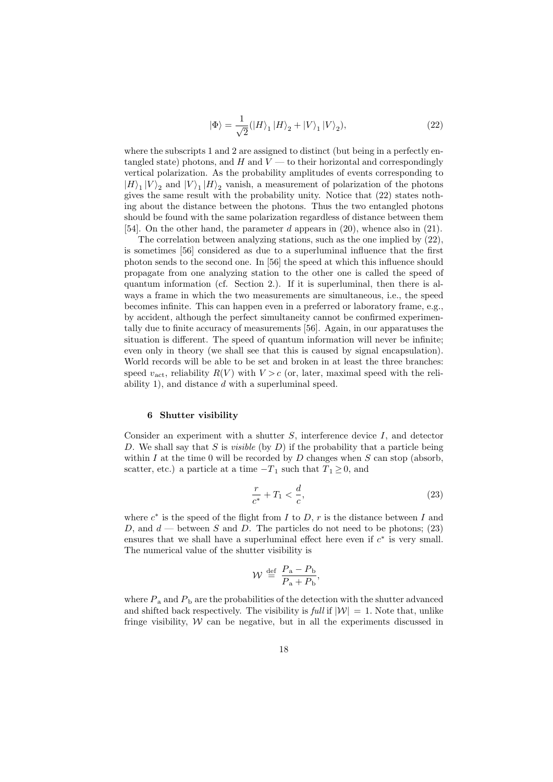$$
|\Phi\rangle = \frac{1}{\sqrt{2}} (|H\rangle_1 |H\rangle_2 + |V\rangle_1 |V\rangle_2),
$$
\n(22)

where the subscripts 1 and 2 are assigned to distinct (but being in a perfectly entangled state) photons, and H and  $V$  — to their horizontal and correspondingly vertical polarization. As the probability amplitudes of events corresponding to  $|H\rangle_1 |V\rangle_2$  and  $|V\rangle_1 |H\rangle_2$  vanish, a measurement of polarization of the photons gives the same result with the probability unity. Notice that (22) states nothing about the distance between the photons. Thus the two entangled photons should be found with the same polarization regardless of distance between them [54]. On the other hand, the parameter d appears in (20), whence also in (21).

The correlation between analyzing stations, such as the one implied by (22), is sometimes [56] considered as due to a superluminal influence that the first photon sends to the second one. In [56] the speed at which this influence should propagate from one analyzing station to the other one is called the speed of quantum information (cf. Section 2.). If it is superluminal, then there is always a frame in which the two measurements are simultaneous, i.e., the speed becomes infinite. This can happen even in a preferred or laboratory frame, e.g., by accident, although the perfect simultaneity cannot be confirmed experimentally due to finite accuracy of measurements [56]. Again, in our apparatuses the situation is different. The speed of quantum information will never be infinite; even only in theory (we shall see that this is caused by signal encapsulation). World records will be able to be set and broken in at least the three branches: speed  $v_{\text{act}}$ , reliability  $R(V)$  with  $V > c$  (or, later, maximal speed with the reliability 1), and distance d with a superluminal speed.

#### 6 Shutter visibility

Consider an experiment with a shutter  $S$ , interference device  $I$ , and detector D. We shall say that S is *visible* (by  $D$ ) if the probability that a particle being within I at the time 0 will be recorded by  $D$  changes when  $S$  can stop (absorb, scatter, etc.) a particle at a time  $-T_1$  such that  $T_1 \geq 0$ , and

$$
\frac{r}{c^*} + T_1 < \frac{d}{c},\tag{23}
$$

where  $c^*$  is the speed of the flight from I to D, r is the distance between I and D, and  $d$  — between S and D. The particles do not need to be photons; (23) ensures that we shall have a superluminal effect here even if  $c^*$  is very small. The numerical value of the shutter visibility is

$$
\mathcal{W} \, \stackrel{\text{def}}{=} \, \frac{P_{\text{a}} - P_{\text{b}}}{P_{\text{a}} + P_{\text{b}}},
$$

where  $P_a$  and  $P_b$  are the probabilities of the detection with the shutter advanced and shifted back respectively. The visibility is full if  $|\mathcal{W}| = 1$ . Note that, unlike fringe visibility,  $W$  can be negative, but in all the experiments discussed in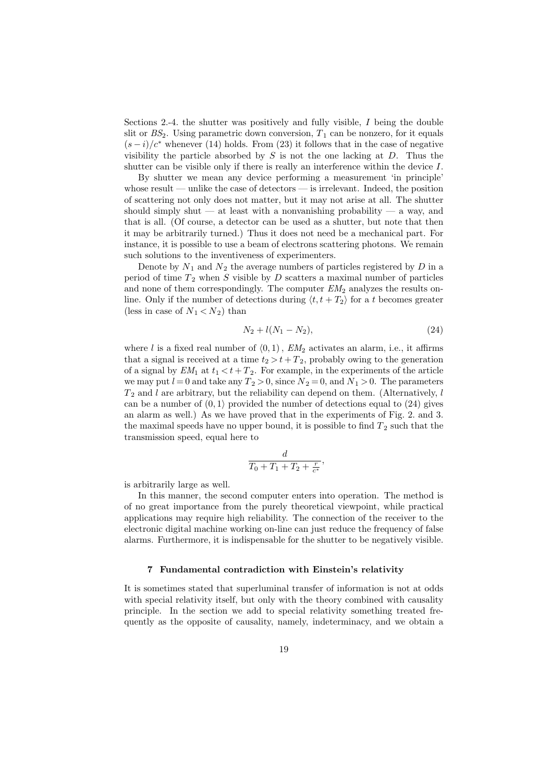Sections 2.-4. the shutter was positively and fully visible, I being the double slit or  $BS_2$ . Using parametric down conversion,  $T_1$  can be nonzero, for it equals  $(s-i)/c^*$  whenever (14) holds. From (23) it follows that in the case of negative visibility the particle absorbed by  $S$  is not the one lacking at  $D$ . Thus the shutter can be visible only if there is really an interference within the device I.

By shutter we mean any device performing a measurement 'in principle' whose result — unlike the case of detectors — is irrelevant. Indeed, the position of scattering not only does not matter, but it may not arise at all. The shutter should simply shut — at least with a nonvanishing probability — a way, and that is all. (Of course, a detector can be used as a shutter, but note that then it may be arbitrarily turned.) Thus it does not need be a mechanical part. For instance, it is possible to use a beam of electrons scattering photons. We remain such solutions to the inventiveness of experimenters.

Denote by  $N_1$  and  $N_2$  the average numbers of particles registered by  $D$  in a period of time  $T_2$  when S visible by D scatters a maximal number of particles and none of them correspondingly. The computer  $EM<sub>2</sub>$  analyzes the results online. Only if the number of detections during  $\langle t, t + T_2 \rangle$  for a t becomes greater (less in case of  $N_1 < N_2$ ) than

$$
N_2 + l(N_1 - N_2), \t\t(24)
$$

where l is a fixed real number of  $(0, 1)$ ,  $EM_2$  activates an alarm, i.e., it affirms that a signal is received at a time  $t_2 > t + T_2$ , probably owing to the generation of a signal by  $EM_1$  at  $t_1 < t + T_2$ . For example, in the experiments of the article we may put  $l = 0$  and take any  $T_2 > 0$ , since  $N_2 = 0$ , and  $N_1 > 0$ . The parameters  $T_2$  and l are arbitrary, but the reliability can depend on them. (Alternatively, l can be a number of  $(0, 1)$  provided the number of detections equal to  $(24)$  gives an alarm as well.) As we have proved that in the experiments of Fig. 2. and 3. the maximal speeds have no upper bound, it is possible to find  $T_2$  such that the transmission speed, equal here to

$$
\frac{d}{T_0+T_1+T_2+\frac{r}{c^*}},
$$

is arbitrarily large as well.

In this manner, the second computer enters into operation. The method is of no great importance from the purely theoretical viewpoint, while practical applications may require high reliability. The connection of the receiver to the electronic digital machine working on-line can just reduce the frequency of false alarms. Furthermore, it is indispensable for the shutter to be negatively visible.

#### 7 Fundamental contradiction with Einstein's relativity

It is sometimes stated that superluminal transfer of information is not at odds with special relativity itself, but only with the theory combined with causality principle. In the section we add to special relativity something treated frequently as the opposite of causality, namely, indeterminacy, and we obtain a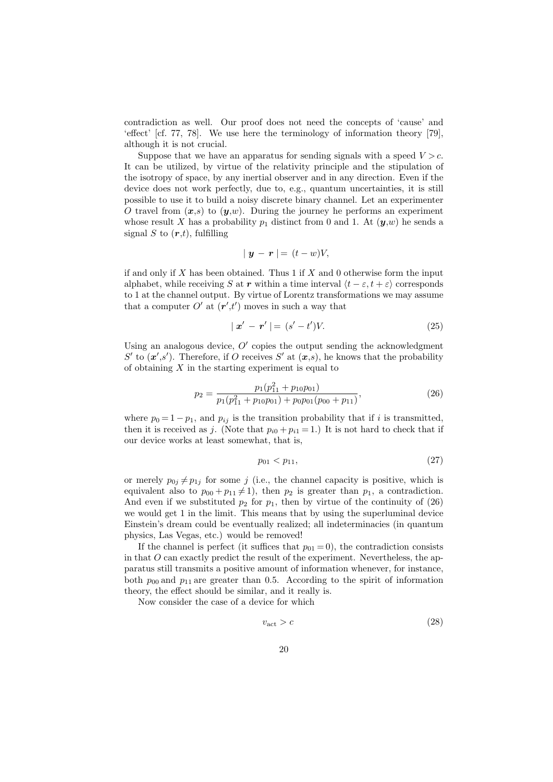contradiction as well. Our proof does not need the concepts of 'cause' and 'effect' [cf. 77, 78]. We use here the terminology of information theory [79], although it is not crucial.

Suppose that we have an apparatus for sending signals with a speed  $V > c$ . It can be utilized, by virtue of the relativity principle and the stipulation of the isotropy of space, by any inertial observer and in any direction. Even if the device does not work perfectly, due to, e.g., quantum uncertainties, it is still possible to use it to build a noisy discrete binary channel. Let an experimenter O travel from  $(x,s)$  to  $(y,w)$ . During the journey he performs an experiment whose result X has a probability  $p_1$  distinct from 0 and 1. At  $(\mathbf{y},w)$  he sends a signal S to  $(r,t)$ , fulfilling

$$
|y - r| = (t - w)V,
$$

if and only if X has been obtained. Thus  $1$  if X and 0 otherwise form the input alphabet, while receiving S at r within a time interval  $\langle t - \varepsilon, t + \varepsilon \rangle$  corresponds to 1 at the channel output. By virtue of Lorentz transformations we may assume that a computer  $O'$  at  $(r',t')$  moves in such a way that

$$
|\mathbf{x}' - \mathbf{r}'| = (s' - t')V. \tag{25}
$$

Using an analogous device,  $O'$  copies the output sending the acknowledgment S' to  $(x', s')$ . Therefore, if O receives S' at  $(x, s)$ , he knows that the probability of obtaining  $X$  in the starting experiment is equal to

$$
p_2 = \frac{p_1(p_{11}^2 + p_{10}p_{01})}{p_1(p_{11}^2 + p_{10}p_{01}) + p_0p_{01}(p_{00} + p_{11})},\tag{26}
$$

where  $p_0 = 1 - p_1$ , and  $p_{ij}$  is the transition probability that if i is transmitted, then it is received as j. (Note that  $p_{i0} + p_{i1} = 1$ .) It is not hard to check that if our device works at least somewhat, that is,

$$
p_{01} < p_{11}, \tag{27}
$$

or merely  $p_{0j} \neq p_{1j}$  for some j (i.e., the channel capacity is positive, which is equivalent also to  $p_{00} + p_{11} \neq 1$ , then  $p_2$  is greater than  $p_1$ , a contradiction. And even if we substituted  $p_2$  for  $p_1$ , then by virtue of the continuity of (26) we would get 1 in the limit. This means that by using the superluminal device Einstein's dream could be eventually realized; all indeterminacies (in quantum physics, Las Vegas, etc.) would be removed!

If the channel is perfect (it suffices that  $p_{01} = 0$ ), the contradiction consists in that  $O$  can exactly predict the result of the experiment. Nevertheless, the apparatus still transmits a positive amount of information whenever, for instance, both  $p_{00}$  and  $p_{11}$  are greater than 0.5. According to the spirit of information theory, the effect should be similar, and it really is.

Now consider the case of a device for which

$$
v_{\text{act}} > c \tag{28}
$$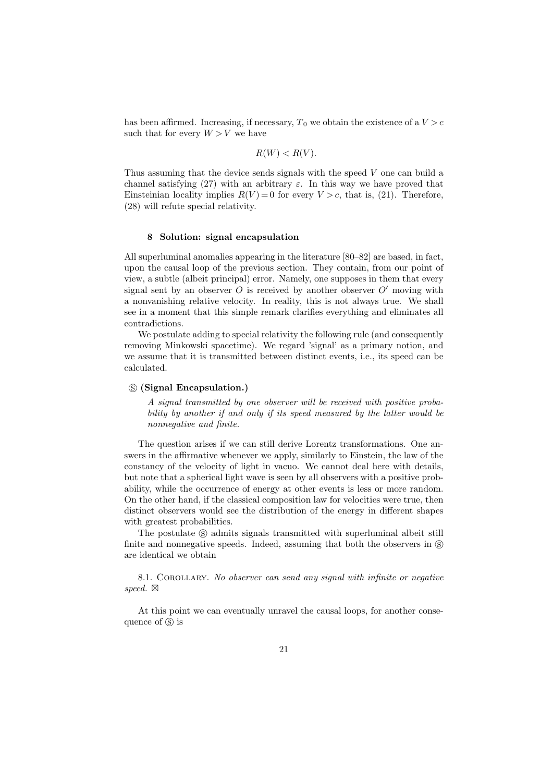has been affirmed. Increasing, if necessary,  $T_0$  we obtain the existence of a  $V > c$ such that for every  $W > V$  we have

$$
R(W) < R(V).
$$

Thus assuming that the device sends signals with the speed V one can build a channel satisfying (27) with an arbitrary  $\varepsilon$ . In this way we have proved that Einsteinian locality implies  $R(V) = 0$  for every  $V > c$ , that is, (21). Therefore, (28) will refute special relativity.

# 8 Solution: signal encapsulation

All superluminal anomalies appearing in the literature [80–82] are based, in fact, upon the causal loop of the previous section. They contain, from our point of view, a subtle (albeit principal) error. Namely, one supposes in them that every signal sent by an observer  $O$  is received by another observer  $O'$  moving with a nonvanishing relative velocity. In reality, this is not always true. We shall see in a moment that this simple remark clarifies everything and eliminates all contradictions.

We postulate adding to special relativity the following rule (and consequently removing Minkowski spacetime). We regard 'signal' as a primary notion, and we assume that it is transmitted between distinct events, i.e., its speed can be calculated.

#### s (Signal Encapsulation.)

A signal transmitted by one observer will be received with positive probability by another if and only if its speed measured by the latter would be nonnegative and finite.

The question arises if we can still derive Lorentz transformations. One answers in the affirmative whenever we apply, similarly to Einstein, the law of the constancy of the velocity of light in vacuo. We cannot deal here with details, but note that a spherical light wave is seen by all observers with a positive probability, while the occurrence of energy at other events is less or more random. On the other hand, if the classical composition law for velocities were true, then distinct observers would see the distribution of the energy in different shapes with greatest probabilities.

The postulate  $\circledS$  admits signals transmitted with superluminal albeit still finite and nonnegative speeds. Indeed, assuming that both the observers in  $\circledS$ are identical we obtain

8.1. COROLLARY. No observer can send any signal with infinite or negative speed.  $\boxtimes$ 

At this point we can eventually unravel the causal loops, for another consequence of  $\circledS$  is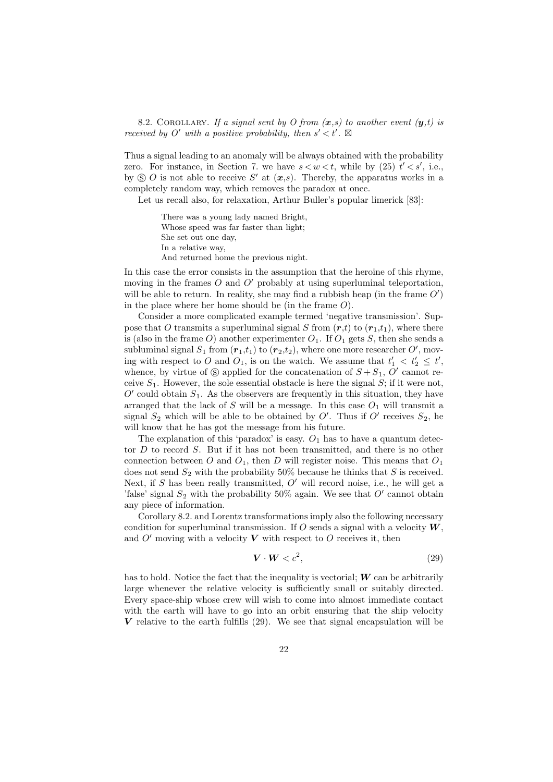8.2. COROLLARY. If a signal sent by O from  $(x, s)$  to another event  $(y, t)$  is received by O' with a positive probability, then  $s' < t'$ .  $\boxtimes$ 

Thus a signal leading to an anomaly will be always obtained with the probability zero. For instance, in Section 7. we have  $s < w < t$ , while by (25)  $t' < s'$ , i.e., by  $\circledS$  O is not able to receive S' at  $(x,s)$ . Thereby, the apparatus works in a completely random way, which removes the paradox at once.

Let us recall also, for relaxation, Arthur Buller's popular limerick [83]:

There was a young lady named Bright, Whose speed was far faster than light; She set out one day, In a relative way, And returned home the previous night.

In this case the error consists in the assumption that the heroine of this rhyme, moving in the frames  $O$  and  $O'$  probably at using superluminal teleportation, will be able to return. In reality, she may find a rubbish heap (in the frame  $O'$ ) in the place where her home should be (in the frame  $O$ ).

Consider a more complicated example termed 'negative transmission'. Suppose that O transmits a superluminal signal S from  $(r,t)$  to  $(r_1,t_1)$ , where there is (also in the frame O) another experimenter  $O_1$ . If  $O_1$  gets S, then she sends a subluminal signal  $S_1$  from  $(r_1,t_1)$  to  $(r_2,t_2)$ , where one more researcher  $O'$ , moving with respect to O and  $O_1$ , is on the watch. We assume that  $t'_1 \, < \, t'_2 \, \leq \, t'$ , whence, by virtue of  $\circledS$  applied for the concatenation of  $S + S_1$ ,  $O'$  cannot receive  $S_1$ . However, the sole essential obstacle is here the signal  $S$ ; if it were not,  $O'$  could obtain  $S_1$ . As the observers are frequently in this situation, they have arranged that the lack of  $S$  will be a message. In this case  $O<sub>1</sub>$  will transmit a signal  $S_2$  which will be able to be obtained by O'. Thus if O' receives  $S_2$ , he will know that he has got the message from his future.

The explanation of this 'paradox' is easy.  $O_1$  has to have a quantum detector D to record S. But if it has not been transmitted, and there is no other connection between O and  $O_1$ , then D will register noise. This means that  $O_1$ does not send  $S_2$  with the probability 50% because he thinks that S is received. Next, if S has been really transmitted,  $O'$  will record noise, i.e., he will get a 'false' signal  $S_2$  with the probability 50% again. We see that  $O'$  cannot obtain any piece of information.

Corollary 8.2. and Lorentz transformations imply also the following necessary condition for superluminal transmission. If O sends a signal with a velocity  $W$ , and  $O'$  moving with a velocity V with respect to O receives it, then

$$
\mathbf{V} \cdot \mathbf{W} < c^2,\tag{29}
$$

has to hold. Notice the fact that the inequality is vectorial;  $\boldsymbol{W}$  can be arbitrarily large whenever the relative velocity is sufficiently small or suitably directed. Every space-ship whose crew will wish to come into almost immediate contact with the earth will have to go into an orbit ensuring that the ship velocity V relative to the earth fulfills  $(29)$ . We see that signal encapsulation will be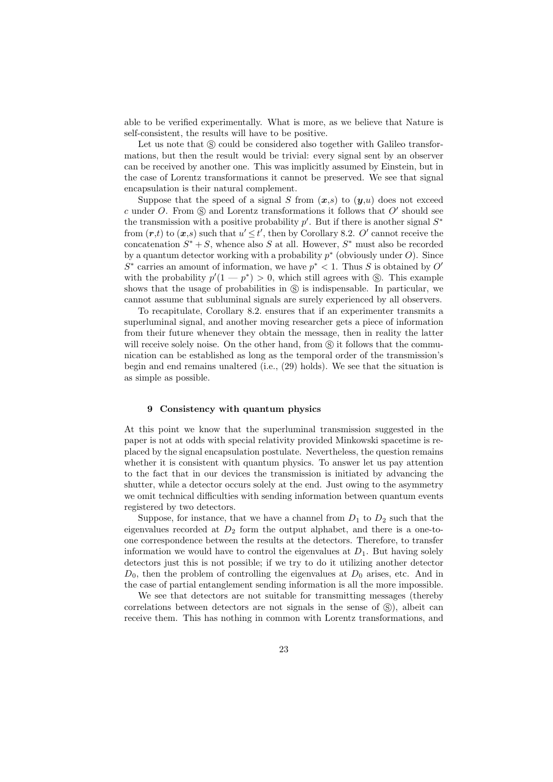able to be verified experimentally. What is more, as we believe that Nature is self-consistent, the results will have to be positive.

Let us note that  $\circledS$  could be considered also together with Galileo transformations, but then the result would be trivial: every signal sent by an observer can be received by another one. This was implicitly assumed by Einstein, but in the case of Lorentz transformations it cannot be preserved. We see that signal encapsulation is their natural complement.

Suppose that the speed of a signal S from  $(x,s)$  to  $(y,u)$  does not exceed c under O. From  $\circledS$  and Lorentz transformations it follows that O' should see the transmission with a positive probability  $p'$ . But if there is another signal  $S^*$ from  $(r,t)$  to  $(x,s)$  such that  $u' \leq t'$ , then by Corollary 8.2. O' cannot receive the concatenation  $S^* + S$ , whence also S at all. However,  $S^*$  must also be recorded by a quantum detector working with a probability  $p^*$  (obviously under  $O$ ). Since  $S^*$  carries an amount of information, we have  $p^* < 1$ . Thus S is obtained by O' with the probability  $p'(1 - p^*) > 0$ , which still agrees with  $\circledS$ . This example shows that the usage of probabilities in  $\circledS$  is indispensable. In particular, we cannot assume that subluminal signals are surely experienced by all observers.

To recapitulate, Corollary 8.2. ensures that if an experimenter transmits a superluminal signal, and another moving researcher gets a piece of information from their future whenever they obtain the message, then in reality the latter will receive solely noise. On the other hand, from  $\circledS$  it follows that the communication can be established as long as the temporal order of the transmission's begin and end remains unaltered (i.e., (29) holds). We see that the situation is as simple as possible.

#### 9 Consistency with quantum physics

At this point we know that the superluminal transmission suggested in the paper is not at odds with special relativity provided Minkowski spacetime is replaced by the signal encapsulation postulate. Nevertheless, the question remains whether it is consistent with quantum physics. To answer let us pay attention to the fact that in our devices the transmission is initiated by advancing the shutter, while a detector occurs solely at the end. Just owing to the asymmetry we omit technical difficulties with sending information between quantum events registered by two detectors.

Suppose, for instance, that we have a channel from  $D_1$  to  $D_2$  such that the eigenvalues recorded at  $D_2$  form the output alphabet, and there is a one-toone correspondence between the results at the detectors. Therefore, to transfer information we would have to control the eigenvalues at  $D_1$ . But having solely detectors just this is not possible; if we try to do it utilizing another detector  $D_0$ , then the problem of controlling the eigenvalues at  $D_0$  arises, etc. And in the case of partial entanglement sending information is all the more impossible.

We see that detectors are not suitable for transmitting messages (thereby correlations between detectors are not signals in the sense of  $\mathcal{S}$ ), albeit can receive them. This has nothing in common with Lorentz transformations, and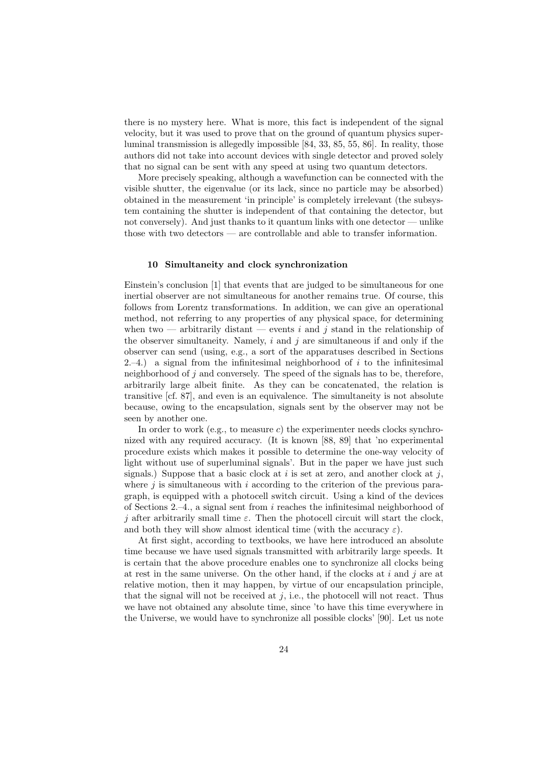there is no mystery here. What is more, this fact is independent of the signal velocity, but it was used to prove that on the ground of quantum physics superluminal transmission is allegedly impossible [84, 33, 85, 55, 86]. In reality, those authors did not take into account devices with single detector and proved solely that no signal can be sent with any speed at using two quantum detectors.

More precisely speaking, although a wavefunction can be connected with the visible shutter, the eigenvalue (or its lack, since no particle may be absorbed) obtained in the measurement 'in principle' is completely irrelevant (the subsystem containing the shutter is independent of that containing the detector, but not conversely). And just thanks to it quantum links with one detector — unlike those with two detectors — are controllable and able to transfer information.

# 10 Simultaneity and clock synchronization

Einstein's conclusion [1] that events that are judged to be simultaneous for one inertial observer are not simultaneous for another remains true. Of course, this follows from Lorentz transformations. In addition, we can give an operational method, not referring to any properties of any physical space, for determining when two — arbitrarily distant — events i and j stand in the relationship of the observer simultaneity. Namely,  $i$  and  $j$  are simultaneous if and only if the observer can send (using, e.g., a sort of the apparatuses described in Sections 2.–4.) a signal from the infinitesimal neighborhood of i to the infinitesimal neighborhood of  $j$  and conversely. The speed of the signals has to be, therefore, arbitrarily large albeit finite. As they can be concatenated, the relation is transitive [cf. 87], and even is an equivalence. The simultaneity is not absolute because, owing to the encapsulation, signals sent by the observer may not be seen by another one.

In order to work (e.g., to measure c) the experimenter needs clocks synchronized with any required accuracy. (It is known [88, 89] that 'no experimental procedure exists which makes it possible to determine the one-way velocity of light without use of superluminal signals'. But in the paper we have just such signals.) Suppose that a basic clock at i is set at zero, and another clock at i. where  $j$  is simultaneous with i according to the criterion of the previous paragraph, is equipped with a photocell switch circuit. Using a kind of the devices of Sections 2.–4., a signal sent from  $i$  reaches the infinitesimal neighborhood of j after arbitrarily small time  $\varepsilon$ . Then the photocell circuit will start the clock, and both they will show almost identical time (with the accuracy  $\varepsilon$ ).

At first sight, according to textbooks, we have here introduced an absolute time because we have used signals transmitted with arbitrarily large speeds. It is certain that the above procedure enables one to synchronize all clocks being at rest in the same universe. On the other hand, if the clocks at  $i$  and  $j$  are at relative motion, then it may happen, by virtue of our encapsulation principle, that the signal will not be received at  $j$ , i.e., the photocell will not react. Thus we have not obtained any absolute time, since 'to have this time everywhere in the Universe, we would have to synchronize all possible clocks' [90]. Let us note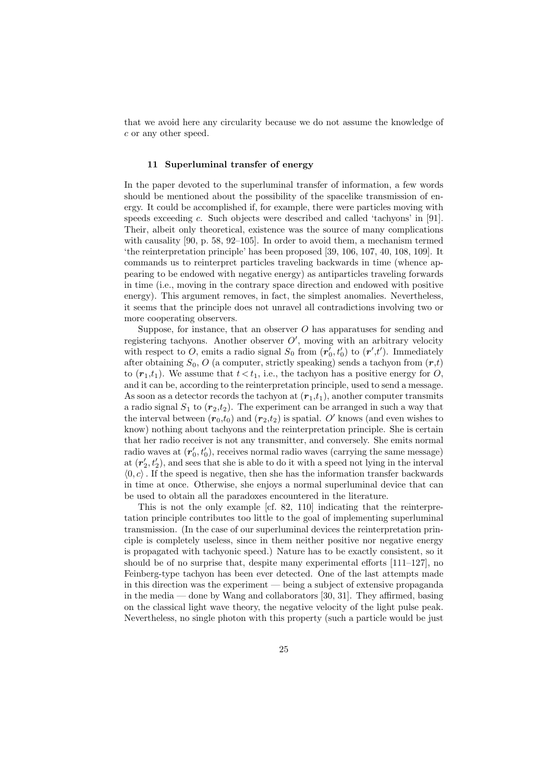that we avoid here any circularity because we do not assume the knowledge of c or any other speed.

# 11 Superluminal transfer of energy

In the paper devoted to the superluminal transfer of information, a few words should be mentioned about the possibility of the spacelike transmission of energy. It could be accomplished if, for example, there were particles moving with speeds exceeding c. Such objects were described and called 'tachyons' in [91]. Their, albeit only theoretical, existence was the source of many complications with causality [90, p. 58, 92–105]. In order to avoid them, a mechanism termed 'the reinterpretation principle' has been proposed [39, 106, 107, 40, 108, 109]. It commands us to reinterpret particles traveling backwards in time (whence appearing to be endowed with negative energy) as antiparticles traveling forwards in time (i.e., moving in the contrary space direction and endowed with positive energy). This argument removes, in fact, the simplest anomalies. Nevertheless, it seems that the principle does not unravel all contradictions involving two or more cooperating observers.

Suppose, for instance, that an observer  $O$  has apparatuses for sending and registering tachyons. Another observer  $O'$ , moving with an arbitrary velocity with respect to O, emits a radio signal  $S_0$  from  $(r'_0, t'_0)$  to  $(r', t')$ . Immediately after obtaining  $S_0$ , O (a computer, strictly speaking) sends a tachyon from  $(r,t)$ to  $(r_1,t_1)$ . We assume that  $t < t_1$ , i.e., the tachyon has a positive energy for O and it can be, according to the reinterpretation principle, used to send a message. As soon as a detector records the tachyon at  $(r_1,t_1)$ , another computer transmits a radio signal  $S_1$  to  $(r_2,t_2)$ . The experiment can be arranged in such a way that the interval between  $(r_0,t_0)$  and  $(r_2,t_2)$  is spatial. O' knows (and even wishes to know) nothing about tachyons and the reinterpretation principle. She is certain that her radio receiver is not any transmitter, and conversely. She emits normal radio waves at  $(r'_0, t'_0)$ , receives normal radio waves (carrying the same message) at  $(r'_2, t'_2)$ , and sees that she is able to do it with a speed not lying in the interval  $\langle 0, c \rangle$ . If the speed is negative, then she has the information transfer backwards in time at once. Otherwise, she enjoys a normal superluminal device that can be used to obtain all the paradoxes encountered in the literature.

This is not the only example [cf. 82, 110] indicating that the reinterpretation principle contributes too little to the goal of implementing superluminal transmission. (In the case of our superluminal devices the reinterpretation principle is completely useless, since in them neither positive nor negative energy is propagated with tachyonic speed.) Nature has to be exactly consistent, so it should be of no surprise that, despite many experimental efforts [111–127], no Feinberg-type tachyon has been ever detected. One of the last attempts made in this direction was the experiment — being a subject of extensive propaganda in the media — done by Wang and collaborators [30, 31]. They affirmed, basing on the classical light wave theory, the negative velocity of the light pulse peak. Nevertheless, no single photon with this property (such a particle would be just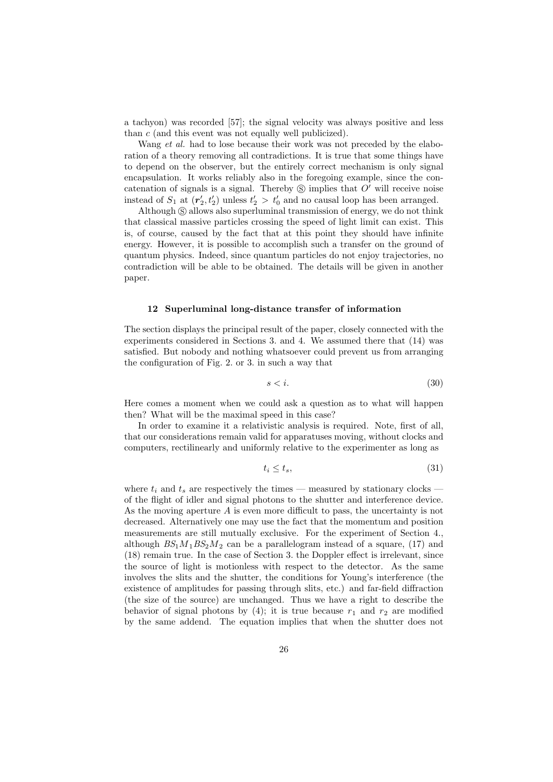a tachyon) was recorded [57]; the signal velocity was always positive and less than c (and this event was not equally well publicized).

Wang *et al.* had to lose because their work was not preceded by the elaboration of a theory removing all contradictions. It is true that some things have to depend on the observer, but the entirely correct mechanism is only signal encapsulation. It works reliably also in the foregoing example, since the concatenation of signals is a signal. Thereby  $\circledS$  implies that  $O'$  will receive noise instead of  $S_1$  at  $(r'_2, t'_2)$  unless  $t'_2 > t'_0$  and no causal loop has been arranged.

Although  $\circledS$  allows also superluminal transmission of energy, we do not think that classical massive particles crossing the speed of light limit can exist. This is, of course, caused by the fact that at this point they should have infinite energy. However, it is possible to accomplish such a transfer on the ground of quantum physics. Indeed, since quantum particles do not enjoy trajectories, no contradiction will be able to be obtained. The details will be given in another paper.

#### 12 Superluminal long-distance transfer of information

The section displays the principal result of the paper, closely connected with the experiments considered in Sections 3. and 4. We assumed there that (14) was satisfied. But nobody and nothing whatsoever could prevent us from arranging the configuration of Fig. 2. or 3. in such a way that

$$
s < i. \tag{30}
$$

Here comes a moment when we could ask a question as to what will happen then? What will be the maximal speed in this case?

In order to examine it a relativistic analysis is required. Note, first of all, that our considerations remain valid for apparatuses moving, without clocks and computers, rectilinearly and uniformly relative to the experimenter as long as

$$
t_i \le t_s,\tag{31}
$$

where  $t_i$  and  $t_s$  are respectively the times — measured by stationary clocks of the flight of idler and signal photons to the shutter and interference device. As the moving aperture  $A$  is even more difficult to pass, the uncertainty is not decreased. Alternatively one may use the fact that the momentum and position measurements are still mutually exclusive. For the experiment of Section 4. although  $BS_1M_1BS_2M_2$  can be a parallelogram instead of a square, (17) and (18) remain true. In the case of Section 3. the Doppler effect is irrelevant, since the source of light is motionless with respect to the detector. As the same involves the slits and the shutter, the conditions for Young's interference (the existence of amplitudes for passing through slits, etc.) and far-field diffraction (the size of the source) are unchanged. Thus we have a right to describe the behavior of signal photons by (4); it is true because  $r_1$  and  $r_2$  are modified by the same addend. The equation implies that when the shutter does not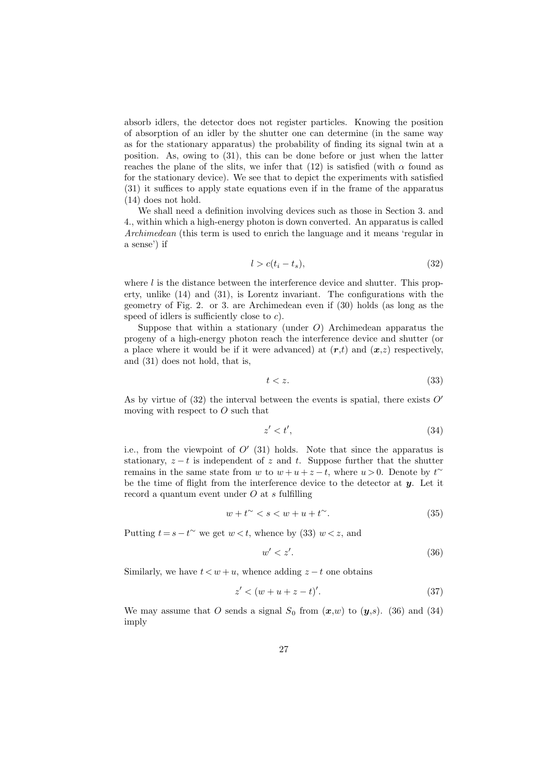absorb idlers, the detector does not register particles. Knowing the position of absorption of an idler by the shutter one can determine (in the same way as for the stationary apparatus) the probability of finding its signal twin at a position. As, owing to (31), this can be done before or just when the latter reaches the plane of the slits, we infer that (12) is satisfied (with  $\alpha$  found as for the stationary device). We see that to depict the experiments with satisfied (31) it suffices to apply state equations even if in the frame of the apparatus (14) does not hold.

We shall need a definition involving devices such as those in Section 3. and 4., within which a high-energy photon is down converted. An apparatus is called Archimedean (this term is used to enrich the language and it means 'regular in a sense') if

$$
l > c(t_i - t_s),\tag{32}
$$

where  $l$  is the distance between the interference device and shutter. This property, unlike (14) and (31), is Lorentz invariant. The configurations with the geometry of Fig. 2. or 3. are Archimedean even if (30) holds (as long as the speed of idlers is sufficiently close to  $c$ ).

Suppose that within a stationary (under  $O$ ) Archimedean apparatus the progeny of a high-energy photon reach the interference device and shutter (or a place where it would be if it were advanced) at  $(r,t)$  and  $(x,z)$  respectively, and (31) does not hold, that is,

$$
t < z. \tag{33}
$$

As by virtue of (32) the interval between the events is spatial, there exists  $O'$ moving with respect to  $O$  such that

$$
z' < t',\tag{34}
$$

i.e., from the viewpoint of  $O'(31)$  holds. Note that since the apparatus is stationary,  $z - t$  is independent of z and t. Suppose further that the shutter remains in the same state from w to  $w + u + z - t$ , where  $u > 0$ . Denote by  $t^{\sim}$ be the time of flight from the interference device to the detector at  $y$ . Let it record a quantum event under O at s fulfilling

$$
w + t^{\sim} < s < w + u + t^{\sim}.\tag{35}
$$

Putting  $t = s - t^{\sim}$  we get  $w < t$ , whence by (33)  $w < z$ , and

$$
w' < z'.\tag{36}
$$

Similarly, we have  $t < w + u$ , whence adding  $z - t$  one obtains

$$
z' < (w + u + z - t)'.\tag{37}
$$

We may assume that O sends a signal  $S_0$  from  $(x,w)$  to  $(y,s)$ . (36) and (34) imply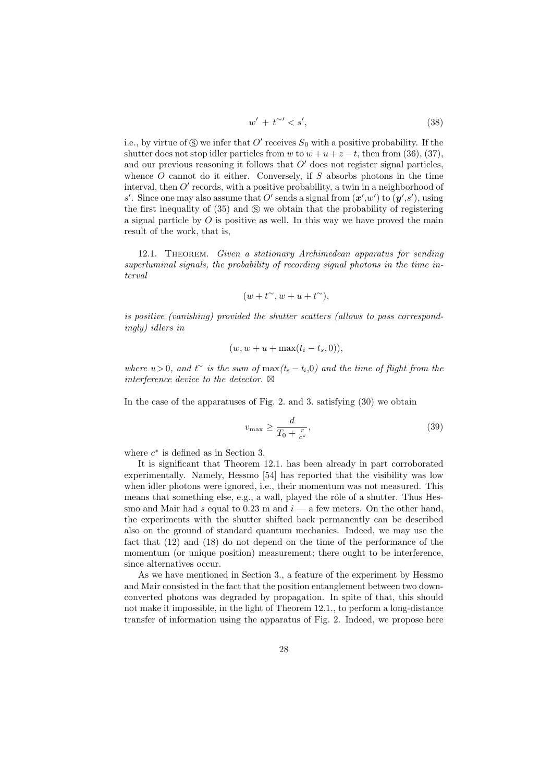$$
w' + t^{\sim} < s',\tag{38}
$$

i.e., by virtue of  $\circledS$  we infer that  $O'$  receives  $S_0$  with a positive probability. If the shutter does not stop idler particles from w to  $w + u + z - t$ , then from (36), (37), and our previous reasoning it follows that  $O'$  does not register signal particles, whence  $O$  cannot do it either. Conversely, if  $S$  absorbs photons in the time interval, then  $O'$  records, with a positive probability, a twin in a neighborhood of s'. Since one may also assume that O' sends a signal from  $(x', w')$  to  $(y', s')$ , using the first inequality of  $(35)$  and  $\circledS$  we obtain that the probability of registering a signal particle by  $\hat{O}$  is positive as well. In this way we have proved the main result of the work, that is,

12.1. Theorem. Given a stationary Archimedean apparatus for sending superluminal signals, the probability of recording signal photons in the time interval

$$
(w+t^{\sim}, w+u+t^{\sim}),
$$

is positive (vanishing) provided the shutter scatters (allows to pass correspondingly) idlers in

$$
(w, w + u + \max(t_i - t_s, 0)),
$$

where  $u > 0$ , and  $t<sup>∼</sup>$  is the sum of  $\max(t_s - t_i, 0)$  and the time of flight from the interference device to the detector.  $\boxtimes$ 

In the case of the apparatuses of Fig. 2. and 3. satisfying (30) we obtain

$$
v_{\text{max}} \ge \frac{d}{T_0 + \frac{r}{c^*}},\tag{39}
$$

where  $c^*$  is defined as in Section 3.

It is significant that Theorem 12.1. has been already in part corroborated experimentally. Namely, Hessmo [54] has reported that the visibility was low when idler photons were ignored, i.e., their momentum was not measured. This means that something else, e.g., a wall, played the rôle of a shutter. Thus Hessmo and Mair had s equal to 0.23 m and  $i$  — a few meters. On the other hand, the experiments with the shutter shifted back permanently can be described also on the ground of standard quantum mechanics. Indeed, we may use the fact that (12) and (18) do not depend on the time of the performance of the momentum (or unique position) measurement; there ought to be interference, since alternatives occur.

As we have mentioned in Section 3., a feature of the experiment by Hessmo and Mair consisted in the fact that the position entanglement between two downconverted photons was degraded by propagation. In spite of that, this should not make it impossible, in the light of Theorem 12.1., to perform a long-distance transfer of information using the apparatus of Fig. 2. Indeed, we propose here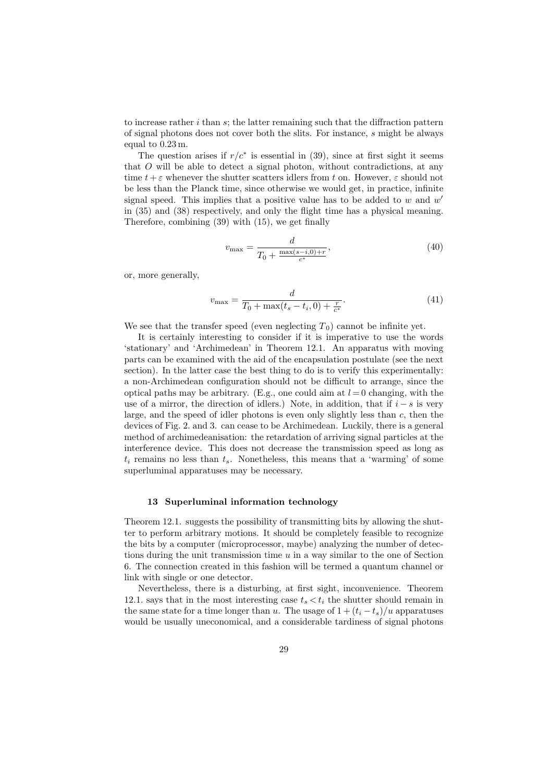to increase rather  $i$  than  $s$ ; the latter remaining such that the diffraction pattern of signal photons does not cover both the slits. For instance, s might be always equal to 0.23 m.

The question arises if  $r/c^*$  is essential in (39), since at first sight it seems that  $O$  will be able to detect a signal photon, without contradictions, at any time  $t + \varepsilon$  whenever the shutter scatters idlers from t on. However,  $\varepsilon$  should not be less than the Planck time, since otherwise we would get, in practice, infinite signal speed. This implies that a positive value has to be added to  $w$  and  $w'$ in (35) and (38) respectively, and only the flight time has a physical meaning. Therefore, combining (39) with (15), we get finally

$$
v_{\text{max}} = \frac{d}{T_0 + \frac{\max(s-i,0) + r}{c^*}},\tag{40}
$$

or, more generally,

$$
v_{\text{max}} = \frac{d}{T_0 + \max(t_s - t_i, 0) + \frac{r}{c^*}}.\tag{41}
$$

We see that the transfer speed (even neglecting  $T_0$ ) cannot be infinite yet.

It is certainly interesting to consider if it is imperative to use the words 'stationary' and 'Archimedean' in Theorem 12.1. An apparatus with moving parts can be examined with the aid of the encapsulation postulate (see the next section). In the latter case the best thing to do is to verify this experimentally: a non-Archimedean configuration should not be difficult to arrange, since the optical paths may be arbitrary. (E.g., one could aim at  $l = 0$  changing, with the use of a mirror, the direction of idlers.) Note, in addition, that if  $i - s$  is very large, and the speed of idler photons is even only slightly less than  $c$ , then the devices of Fig. 2. and 3. can cease to be Archimedean. Luckily, there is a general method of archimedeanisation: the retardation of arriving signal particles at the interference device. This does not decrease the transmission speed as long as  $t_i$  remains no less than  $t_s$ . Nonetheless, this means that a 'warming' of some superluminal apparatuses may be necessary.

# 13 Superluminal information technology

Theorem 12.1. suggests the possibility of transmitting bits by allowing the shutter to perform arbitrary motions. It should be completely feasible to recognize the bits by a computer (microprocessor, maybe) analyzing the number of detections during the unit transmission time  $u$  in a way similar to the one of Section 6. The connection created in this fashion will be termed a quantum channel or link with single or one detector.

Nevertheless, there is a disturbing, at first sight, inconvenience. Theorem 12.1. says that in the most interesting case  $t_s < t_i$  the shutter should remain in the same state for a time longer than u. The usage of  $1 + (t_i - t_s)/u$  apparatuses would be usually uneconomical, and a considerable tardiness of signal photons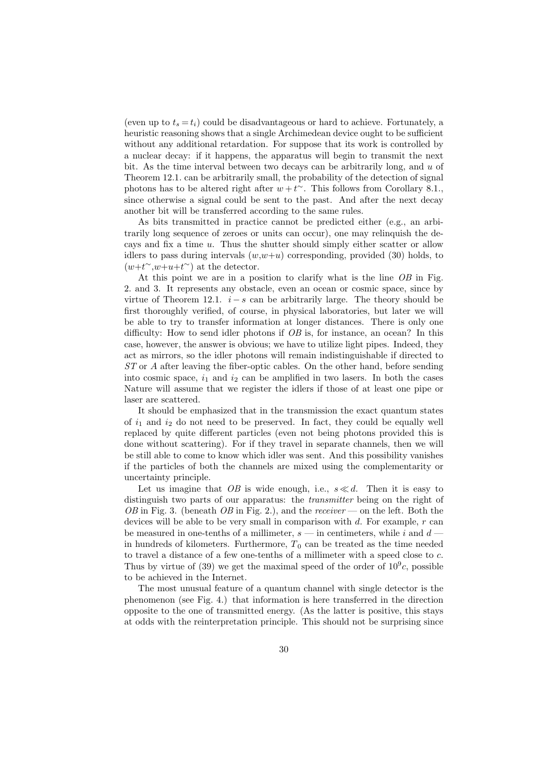(even up to  $t_s = t_i$ ) could be disadvantageous or hard to achieve. Fortunately, a heuristic reasoning shows that a single Archimedean device ought to be sufficient without any additional retardation. For suppose that its work is controlled by a nuclear decay: if it happens, the apparatus will begin to transmit the next bit. As the time interval between two decays can be arbitrarily long, and  $u$  of Theorem 12.1. can be arbitrarily small, the probability of the detection of signal photons has to be altered right after  $w + t^{\sim}$ . This follows from Corollary 8.1., since otherwise a signal could be sent to the past. And after the next decay another bit will be transferred according to the same rules.

As bits transmitted in practice cannot be predicted either (e.g., an arbitrarily long sequence of zeroes or units can occur), one may relinquish the decays and fix a time u. Thus the shutter should simply either scatter or allow idlers to pass during intervals  $(w,w+u)$  corresponding, provided (30) holds, to  $(w+t^{\sim}, w+u+t^{\sim})$  at the detector.

At this point we are in a position to clarify what is the line OB in Fig. 2. and 3. It represents any obstacle, even an ocean or cosmic space, since by virtue of Theorem 12.1.  $i - s$  can be arbitrarily large. The theory should be first thoroughly verified, of course, in physical laboratories, but later we will be able to try to transfer information at longer distances. There is only one difficulty: How to send idler photons if  $OB$  is, for instance, an ocean? In this case, however, the answer is obvious; we have to utilize light pipes. Indeed, they act as mirrors, so the idler photons will remain indistinguishable if directed to ST or A after leaving the fiber-optic cables. On the other hand, before sending into cosmic space,  $i_1$  and  $i_2$  can be amplified in two lasers. In both the cases Nature will assume that we register the idlers if those of at least one pipe or laser are scattered.

It should be emphasized that in the transmission the exact quantum states of  $i_1$  and  $i_2$  do not need to be preserved. In fact, they could be equally well replaced by quite different particles (even not being photons provided this is done without scattering). For if they travel in separate channels, then we will be still able to come to know which idler was sent. And this possibility vanishes if the particles of both the channels are mixed using the complementarity or uncertainty principle.

Let us imagine that OB is wide enough, i.e.,  $s \ll d$ . Then it is easy to distinguish two parts of our apparatus: the *transmitter* being on the right of OB in Fig. 3. (beneath OB in Fig. 2.), and the receiver — on the left. Both the devices will be able to be very small in comparison with  $d$ . For example,  $r$  can be measured in one-tenths of a millimeter,  $s$  — in centimeters, while i and  $d$ in hundreds of kilometers. Furthermore,  $T_0$  can be treated as the time needed to travel a distance of a few one-tenths of a millimeter with a speed close to c. Thus by virtue of (39) we get the maximal speed of the order of  $10^9c$ , possible to be achieved in the Internet.

The most unusual feature of a quantum channel with single detector is the phenomenon (see Fig. 4.) that information is here transferred in the direction opposite to the one of transmitted energy. (As the latter is positive, this stays at odds with the reinterpretation principle. This should not be surprising since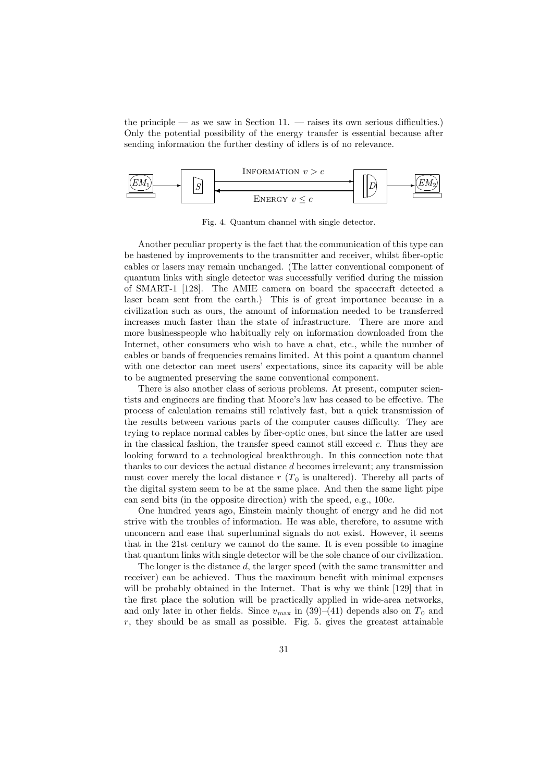the principle — as we saw in Section  $11.$  — raises its own serious difficulties.) Only the potential possibility of the energy transfer is essential because after sending information the further destiny of idlers is of no relevance.



Fig. 4. Quantum channel with single detector.

Another peculiar property is the fact that the communication of this type can be hastened by improvements to the transmitter and receiver, whilst fiber-optic cables or lasers may remain unchanged. (The latter conventional component of quantum links with single detector was successfully verified during the mission of SMART-1 [128]. The AMIE camera on board the spacecraft detected a laser beam sent from the earth.) This is of great importance because in a civilization such as ours, the amount of information needed to be transferred increases much faster than the state of infrastructure. There are more and more businesspeople who habitually rely on information downloaded from the Internet, other consumers who wish to have a chat, etc., while the number of cables or bands of frequencies remains limited. At this point a quantum channel with one detector can meet users' expectations, since its capacity will be able to be augmented preserving the same conventional component.

There is also another class of serious problems. At present, computer scientists and engineers are finding that Moore's law has ceased to be effective. The process of calculation remains still relatively fast, but a quick transmission of the results between various parts of the computer causes difficulty. They are trying to replace normal cables by fiber-optic ones, but since the latter are used in the classical fashion, the transfer speed cannot still exceed c. Thus they are looking forward to a technological breakthrough. In this connection note that thanks to our devices the actual distance d becomes irrelevant; any transmission must cover merely the local distance  $r(T_0)$  is unaltered). Thereby all parts of the digital system seem to be at the same place. And then the same light pipe can send bits (in the opposite direction) with the speed, e.g., 100c.

One hundred years ago, Einstein mainly thought of energy and he did not strive with the troubles of information. He was able, therefore, to assume with unconcern and ease that superluminal signals do not exist. However, it seems that in the 21st century we cannot do the same. It is even possible to imagine that quantum links with single detector will be the sole chance of our civilization.

The longer is the distance d, the larger speed (with the same transmitter and receiver) can be achieved. Thus the maximum benefit with minimal expenses will be probably obtained in the Internet. That is why we think [129] that in the first place the solution will be practically applied in wide-area networks, and only later in other fields. Since  $v_{\text{max}}$  in (39)–(41) depends also on  $T_0$  and  $r$ , they should be as small as possible. Fig. 5. gives the greatest attainable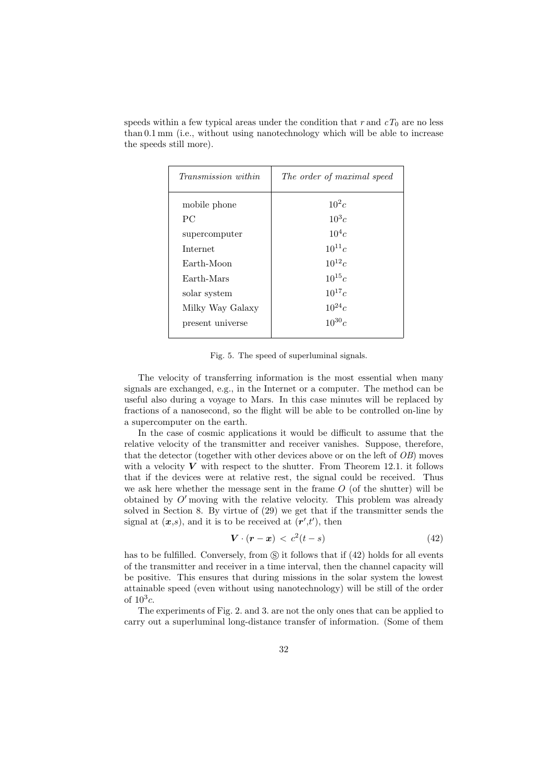| the speeds still more).    | than 0.1 mm (i.e., without using nanotechnology which will be able to increase |  |
|----------------------------|--------------------------------------------------------------------------------|--|
|                            |                                                                                |  |
| <i>Transmission within</i> | The order of maximal speed                                                     |  |

speeds within a few typical areas under the condition that r and  $cT_0$  are no less

| $\pm$ , where $\omega$ , and $\omega$ , and $\omega$ , and $\omega$ | $\pm$ 100 $\sigma$ 1 $\omega$ 01 $\sigma$ 1100000110000 $\sigma$ DCCW |  |
|---------------------------------------------------------------------|-----------------------------------------------------------------------|--|
| mobile phone                                                        | $10^2c$                                                               |  |
| <b>PC</b>                                                           | $10^3c$                                                               |  |
| supercomputer                                                       | $10^4c$                                                               |  |
| <b>Internet</b>                                                     | $10^{11}c$                                                            |  |
| Earth-Moon                                                          | $10^{12}c$                                                            |  |
| Earth-Mars                                                          | $10^{15}c$                                                            |  |
| solar system                                                        | $10^{17}c$                                                            |  |
| Milky Way Galaxy                                                    | $10^{24}c$                                                            |  |
| present universe                                                    | $10^{30}c$                                                            |  |
|                                                                     |                                                                       |  |

Fig. 5. The speed of superluminal signals.

The velocity of transferring information is the most essential when many signals are exchanged, e.g., in the Internet or a computer. The method can be useful also during a voyage to Mars. In this case minutes will be replaced by fractions of a nanosecond, so the flight will be able to be controlled on-line by a supercomputer on the earth.

In the case of cosmic applications it would be difficult to assume that the relative velocity of the transmitter and receiver vanishes. Suppose, therefore, that the detector (together with other devices above or on the left of OB) moves with a velocity  $V$  with respect to the shutter. From Theorem 12.1. it follows that if the devices were at relative rest, the signal could be received. Thus we ask here whether the message sent in the frame  $O$  (of the shutter) will be obtained by  $O'$  moving with the relative velocity. This problem was already solved in Section 8. By virtue of (29) we get that if the transmitter sends the signal at  $(x,s)$ , and it is to be received at  $(r',t')$ , then

$$
\mathbf{V} \cdot (\mathbf{r} - \mathbf{x}) < c^2(t - s) \tag{42}
$$

has to be fulfilled. Conversely, from  $\circledS$  it follows that if  $(42)$  holds for all events of the transmitter and receiver in a time interval, then the channel capacity will be positive. This ensures that during missions in the solar system the lowest attainable speed (even without using nanotechnology) will be still of the order of  $10^3c$ .

The experiments of Fig. 2. and 3. are not the only ones that can be applied to carry out a superluminal long-distance transfer of information. (Some of them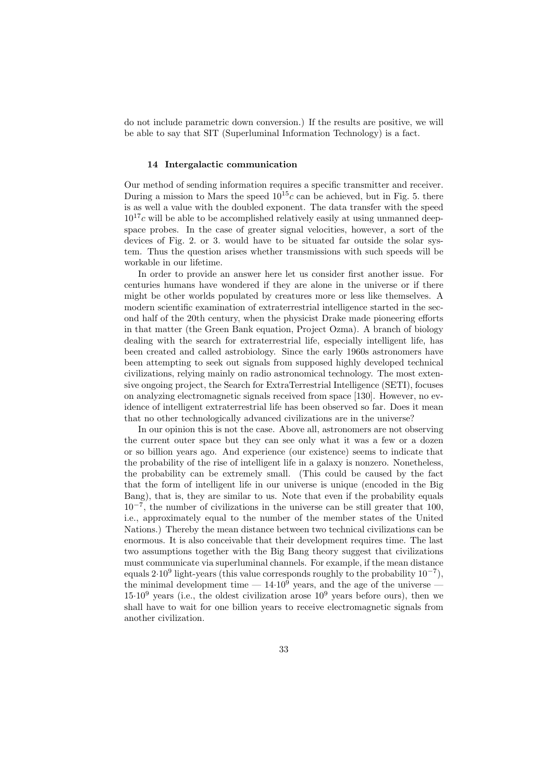do not include parametric down conversion.) If the results are positive, we will be able to say that SIT (Superluminal Information Technology) is a fact.

#### 14 Intergalactic communication

Our method of sending information requires a specific transmitter and receiver. During a mission to Mars the speed  $10^{15}c$  can be achieved, but in Fig. 5. there is as well a value with the doubled exponent. The data transfer with the speed  $10^{17}c$  will be able to be accomplished relatively easily at using unmanned deepspace probes. In the case of greater signal velocities, however, a sort of the devices of Fig. 2. or 3. would have to be situated far outside the solar system. Thus the question arises whether transmissions with such speeds will be workable in our lifetime.

In order to provide an answer here let us consider first another issue. For centuries humans have wondered if they are alone in the universe or if there might be other worlds populated by creatures more or less like themselves. A modern scientific examination of extraterrestrial intelligence started in the second half of the 20th century, when the physicist Drake made pioneering efforts in that matter (the Green Bank equation, Project Ozma). A branch of biology dealing with the search for extraterrestrial life, especially intelligent life, has been created and called astrobiology. Since the early 1960s astronomers have been attempting to seek out signals from supposed highly developed technical civilizations, relying mainly on radio astronomical technology. The most extensive ongoing project, the Search for ExtraTerrestrial Intelligence (SETI), focuses on analyzing electromagnetic signals received from space [130]. However, no evidence of intelligent extraterrestrial life has been observed so far. Does it mean that no other technologically advanced civilizations are in the universe?

In our opinion this is not the case. Above all, astronomers are not observing the current outer space but they can see only what it was a few or a dozen or so billion years ago. And experience (our existence) seems to indicate that the probability of the rise of intelligent life in a galaxy is nonzero. Nonetheless, the probability can be extremely small. (This could be caused by the fact that the form of intelligent life in our universe is unique (encoded in the Big Bang), that is, they are similar to us. Note that even if the probability equals 10<sup>−</sup><sup>7</sup> , the number of civilizations in the universe can be still greater that 100, i.e., approximately equal to the number of the member states of the United Nations.) Thereby the mean distance between two technical civilizations can be enormous. It is also conceivable that their development requires time. The last two assumptions together with the Big Bang theory suggest that civilizations must communicate via superluminal channels. For example, if the mean distance equals  $2.10<sup>9</sup>$  light-years (this value corresponds roughly to the probability  $10<sup>-7</sup>$ ), the minimal development time  $-14.10<sup>9</sup>$  years, and the age of the universe  $15·10<sup>9</sup>$  years (i.e., the oldest civilization arose  $10<sup>9</sup>$  years before ours), then we shall have to wait for one billion years to receive electromagnetic signals from another civilization.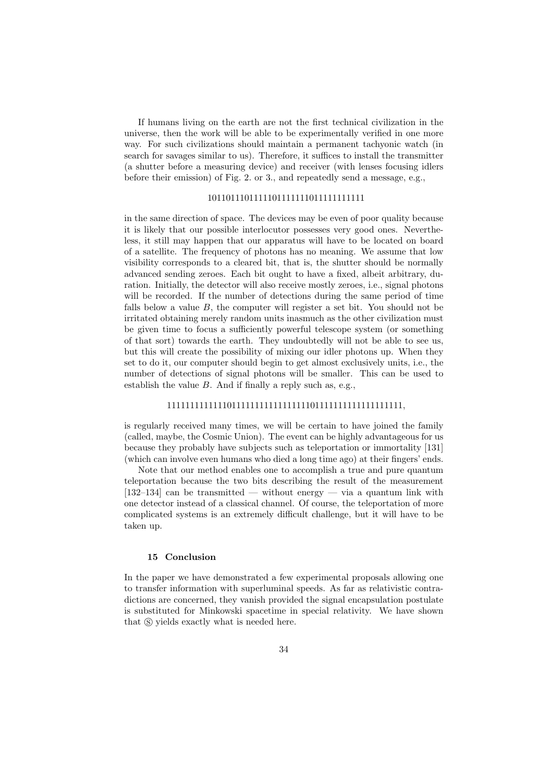If humans living on the earth are not the first technical civilization in the universe, then the work will be able to be experimentally verified in one more way. For such civilizations should maintain a permanent tachyonic watch (in search for savages similar to us). Therefore, it suffices to install the transmitter (a shutter before a measuring device) and receiver (with lenses focusing idlers before their emission) of Fig. 2. or 3., and repeatedly send a message, e.g.,

## 1011011101111101111111011111111111

in the same direction of space. The devices may be even of poor quality because it is likely that our possible interlocutor possesses very good ones. Nevertheless, it still may happen that our apparatus will have to be located on board of a satellite. The frequency of photons has no meaning. We assume that low visibility corresponds to a cleared bit, that is, the shutter should be normally advanced sending zeroes. Each bit ought to have a fixed, albeit arbitrary, duration. Initially, the detector will also receive mostly zeroes, i.e., signal photons will be recorded. If the number of detections during the same period of time falls below a value B, the computer will register a set bit. You should not be irritated obtaining merely random units inasmuch as the other civilization must be given time to focus a sufficiently powerful telescope system (or something of that sort) towards the earth. They undoubtedly will not be able to see us, but this will create the possibility of mixing our idler photons up. When they set to do it, our computer should begin to get almost exclusively units, i.e., the number of detections of signal photons will be smaller. This can be used to establish the value  $B$ . And if finally a reply such as, e.g.,

# 111111111111101111111111111111101111111111111111111,

is regularly received many times, we will be certain to have joined the family (called, maybe, the Cosmic Union). The event can be highly advantageous for us because they probably have subjects such as teleportation or immortality [131] (which can involve even humans who died a long time ago) at their fingers' ends.

Note that our method enables one to accomplish a true and pure quantum teleportation because the two bits describing the result of the measurement  $[132-134]$  can be transmitted — without energy — via a quantum link with one detector instead of a classical channel. Of course, the teleportation of more complicated systems is an extremely difficult challenge, but it will have to be taken up.

#### 15 Conclusion

In the paper we have demonstrated a few experimental proposals allowing one to transfer information with superluminal speeds. As far as relativistic contradictions are concerned, they vanish provided the signal encapsulation postulate is substituted for Minkowski spacetime in special relativity. We have shown that  $\circledS$  yields exactly what is needed here.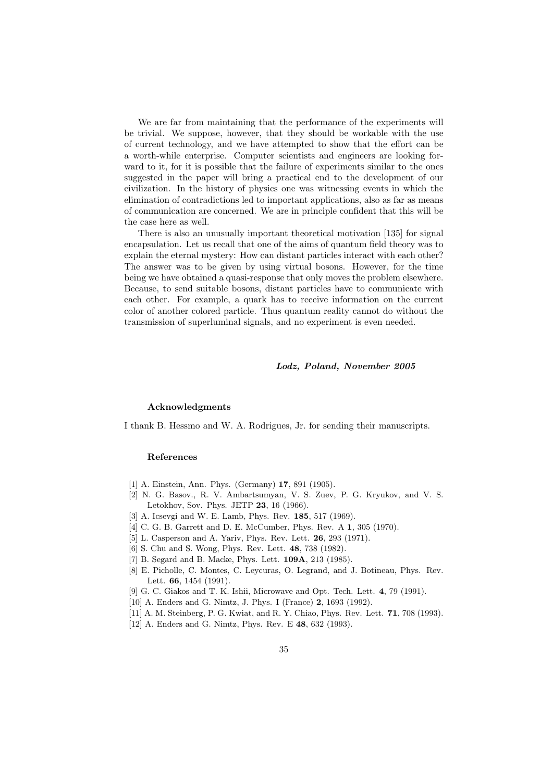We are far from maintaining that the performance of the experiments will be trivial. We suppose, however, that they should be workable with the use of current technology, and we have attempted to show that the effort can be a worth-while enterprise. Computer scientists and engineers are looking forward to it, for it is possible that the failure of experiments similar to the ones suggested in the paper will bring a practical end to the development of our civilization. In the history of physics one was witnessing events in which the elimination of contradictions led to important applications, also as far as means of communication are concerned. We are in principle confident that this will be the case here as well.

There is also an unusually important theoretical motivation [135] for signal encapsulation. Let us recall that one of the aims of quantum field theory was to explain the eternal mystery: How can distant particles interact with each other? The answer was to be given by using virtual bosons. However, for the time being we have obtained a quasi-response that only moves the problem elsewhere. Because, to send suitable bosons, distant particles have to communicate with each other. For example, a quark has to receive information on the current color of another colored particle. Thus quantum reality cannot do without the transmission of superluminal signals, and no experiment is even needed.

#### Lodz, Poland, November 2005

### Acknowledgments

I thank B. Hessmo and W. A. Rodrigues, Jr. for sending their manuscripts.

#### References

- [1] A. Einstein, Ann. Phys. (Germany) 17, 891 (1905).
- [2] N. G. Basov., R. V. Ambartsumyan, V. S. Zuev, P. G. Kryukov, and V. S. Letokhov, Sov. Phys. JETP 23, 16 (1966).
- [3] A. Icsevgi and W. E. Lamb, Phys. Rev. 185, 517 (1969).
- [4] C. G. B. Garrett and D. E. McCumber, Phys. Rev. A 1, 305 (1970).
- [5] L. Casperson and A. Yariv, Phys. Rev. Lett. 26, 293 (1971).
- [6] S. Chu and S. Wong, Phys. Rev. Lett. 48, 738 (1982).
- [7] B. Segard and B. Macke, Phys. Lett. 109A, 213 (1985).
- [8] E. Picholle, C. Montes, C. Leycuras, O. Legrand, and J. Botineau, Phys. Rev. Lett. 66, 1454 (1991).
- [9] G. C. Giakos and T. K. Ishii, Microwave and Opt. Tech. Lett. 4, 79 (1991).
- [10] A. Enders and G. Nimtz, J. Phys. I (France) 2, 1693 (1992).
- [11] A. M. Steinberg, P. G. Kwiat, and R. Y. Chiao, Phys. Rev. Lett. **71**, 708 (1993).
- [12] A. Enders and G. Nimtz, Phys. Rev. E 48, 632 (1993).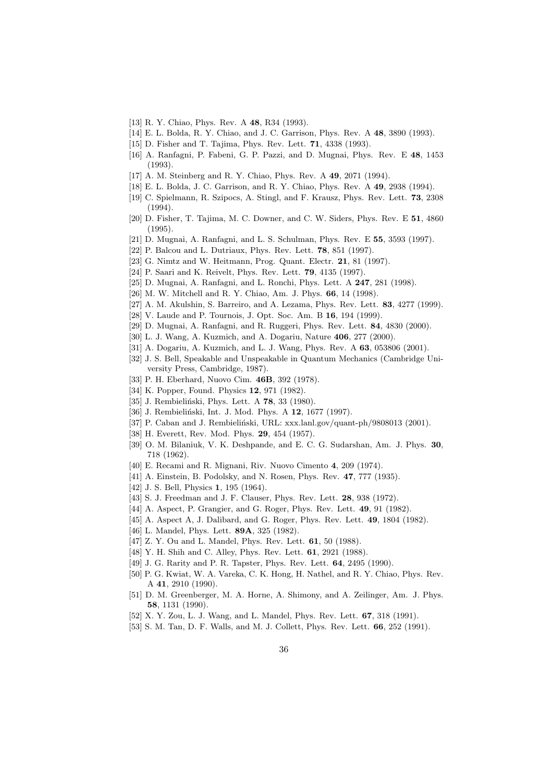- [13] R. Y. Chiao, Phys. Rev. A 48, R34 (1993).
- [14] E. L. Bolda, R. Y. Chiao, and J. C. Garrison, Phys. Rev. A 48, 3890 (1993).
- [15] D. Fisher and T. Tajima, Phys. Rev. Lett. 71, 4338 (1993).
- [16] A. Ranfagni, P. Fabeni, G. P. Pazzi, and D. Mugnai, Phys. Rev. E 48, 1453 (1993).
- [17] A. M. Steinberg and R. Y. Chiao, Phys. Rev. A 49, 2071 (1994).
- [18] E. L. Bolda, J. C. Garrison, and R. Y. Chiao, Phys. Rev. A 49, 2938 (1994).
- [19] C. Spielmann, R. Szipocs, A. Stingl, and F. Krausz, Phys. Rev. Lett. 73, 2308 (1994).
- [20] D. Fisher, T. Tajima, M. C. Downer, and C. W. Siders, Phys. Rev. E 51, 4860 (1995).
- [21] D. Mugnai, A. Ranfagni, and L. S. Schulman, Phys. Rev. E 55, 3593 (1997).
- [22] P. Balcou and L. Dutriaux, Phys. Rev. Lett. 78, 851 (1997).
- [23] G. Nimtz and W. Heitmann, Prog. Quant. Electr. **21**, 81 (1997).
- [24] P. Saari and K. Reivelt, Phys. Rev. Lett. 79, 4135 (1997).
- [25] D. Mugnai, A. Ranfagni, and L. Ronchi, Phys. Lett. A 247, 281 (1998).
- [26] M. W. Mitchell and R. Y. Chiao, Am. J. Phys. 66, 14 (1998).
- [27] A. M. Akulshin, S. Barreiro, and A. Lezama, Phys. Rev. Lett. 83, 4277 (1999).
- [28] V. Laude and P. Tournois, J. Opt. Soc. Am. B 16, 194 (1999).
- [29] D. Mugnai, A. Ranfagni, and R. Ruggeri, Phys. Rev. Lett. 84, 4830 (2000).
- [30] L. J. Wang, A. Kuzmich, and A. Dogariu, Nature 406, 277 (2000).
- [31] A. Dogariu, A. Kuzmich, and L. J. Wang, Phys. Rev. A 63, 053806 (2001).
- [32] J. S. Bell, Speakable and Unspeakable in Quantum Mechanics (Cambridge University Press, Cambridge, 1987).
- [33] P. H. Eberhard, Nuovo Cim. 46B, 392 (1978).
- [34] K. Popper, Found. Physics **12**, 971 (1982).
- [35] J. Rembieliński, Phys. Lett. A 78, 33 (1980).
- [36] J. Rembieliński, Int. J. Mod. Phys. A 12, 1677 (1997).
- [37] P. Caban and J. Rembieliński, URL:  $xxx$ .lanl.gov/quant-ph/9808013 (2001).
- [38] H. Everett, Rev. Mod. Phys. 29, 454 (1957).
- [39] O. M. Bilaniuk, V. K. Deshpande, and E. C. G. Sudarshan, Am. J. Phys. 30, 718 (1962).
- [40] E. Recami and R. Mignani, Riv. Nuovo Cimento 4, 209 (1974).
- [41] A. Einstein, B. Podolsky, and N. Rosen, Phys. Rev. 47, 777 (1935).
- [42] J. S. Bell, Physics 1, 195 (1964).
- [43] S. J. Freedman and J. F. Clauser, Phys. Rev. Lett. **28**, 938 (1972).
- [44] A. Aspect, P. Grangier, and G. Roger, Phys. Rev. Lett. **49**, 91 (1982).
- [45] A. Aspect A, J. Dalibard, and G. Roger, Phys. Rev. Lett. **49**, 1804 (1982).
- [46] L. Mandel, Phys. Lett. 89A, 325 (1982).
- [47] Z. Y. Ou and L. Mandel, Phys. Rev. Lett. **61**, 50 (1988).
- [48] Y. H. Shih and C. Alley, Phys. Rev. Lett. **61**, 2921 (1988).
- [49] J. G. Rarity and P. R. Tapster, Phys. Rev. Lett. **64**, 2495 (1990).
- [50] P. G. Kwiat, W. A. Vareka, C. K. Hong, H. Nathel, and R. Y. Chiao, Phys. Rev. A 41, 2910 (1990).
- [51] D. M. Greenberger, M. A. Horne, A. Shimony, and A. Zeilinger, Am. J. Phys. 58, 1131 (1990).
- [52] X. Y. Zou, L. J. Wang, and L. Mandel, Phys. Rev. Lett. 67, 318 (1991).
- [53] S. M. Tan, D. F. Walls, and M. J. Collett, Phys. Rev. Lett. **66**, 252 (1991).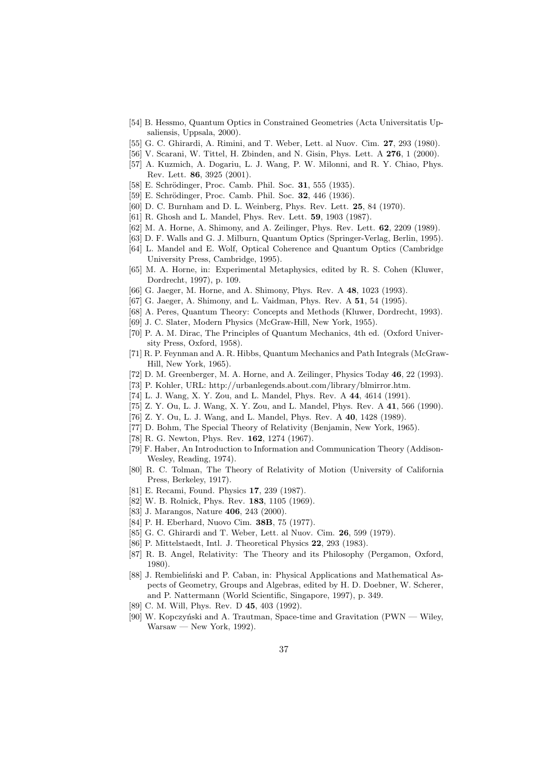- [54] B. Hessmo, Quantum Optics in Constrained Geometries (Acta Universitatis Upsaliensis, Uppsala, 2000).
- [55] G. C. Ghirardi, A. Rimini, and T. Weber, Lett. al Nuov. Cim. 27, 293 (1980).
- [56] V. Scarani, W. Tittel, H. Zbinden, and N. Gisin, Phys. Lett. A 276, 1 (2000).
- [57] A. Kuzmich, A. Dogariu, L. J. Wang, P. W. Milonni, and R. Y. Chiao, Phys. Rev. Lett. 86, 3925 (2001).
- [58] E. Schrödinger, Proc. Camb. Phil. Soc. 31, 555 (1935).
- [59] E. Schrödinger, Proc. Camb. Phil. Soc. 32, 446 (1936).
- [60] D. C. Burnham and D. L. Weinberg, Phys. Rev. Lett. 25, 84 (1970).
- [61] R. Ghosh and L. Mandel, Phys. Rev. Lett. 59, 1903 (1987).
- [62] M. A. Horne, A. Shimony, and A. Zeilinger, Phys. Rev. Lett. 62, 2209 (1989).
- [63] D. F. Walls and G. J. Milburn, Quantum Optics (Springer-Verlag, Berlin, 1995).
- [64] L. Mandel and E. Wolf, Optical Coherence and Quantum Optics (Cambridge University Press, Cambridge, 1995).
- [65] M. A. Horne, in: Experimental Metaphysics, edited by R. S. Cohen (Kluwer, Dordrecht, 1997), p. 109.
- [66] G. Jaeger, M. Horne, and A. Shimony, Phys. Rev. A **48**, 1023 (1993).
- [67] G. Jaeger, A. Shimony, and L. Vaidman, Phys. Rev. A **51**, 54 (1995).
- [68] A. Peres, Quantum Theory: Concepts and Methods (Kluwer, Dordrecht, 1993).
- [69] J. C. Slater, Modern Physics (McGraw-Hill, New York, 1955).
- [70] P. A. M. Dirac, The Principles of Quantum Mechanics, 4th ed. (Oxford University Press, Oxford, 1958).
- [71] R. P. Feynman and A. R. Hibbs, Quantum Mechanics and Path Integrals (McGraw-Hill, New York, 1965).
- [72] D. M. Greenberger, M. A. Horne, and A. Zeilinger, Physics Today 46, 22 (1993).
- [73] P. Kohler, URL: http://urbanlegends.about.com/library/blmirror.htm.
- [74] L. J. Wang, X. Y. Zou, and L. Mandel, Phys. Rev. A 44, 4614 (1991).
- [75] Z. Y. Ou, L. J. Wang, X. Y. Zou, and L. Mandel, Phys. Rev. A 41, 566 (1990).
- [76] Z. Y. Ou, L. J. Wang, and L. Mandel, Phys. Rev. A 40, 1428 (1989).
- [77] D. Bohm, The Special Theory of Relativity (Benjamin, New York, 1965).
- [78] R. G. Newton, Phys. Rev. 162, 1274 (1967).
- [79] F. Haber, An Introduction to Information and Communication Theory (Addison-Wesley, Reading, 1974).
- [80] R. C. Tolman, The Theory of Relativity of Motion (University of California Press, Berkeley, 1917).
- [81] E. Recami, Found. Physics 17, 239 (1987).
- [82] W. B. Rolnick, Phys. Rev. 183, 1105 (1969).
- [83] J. Marangos, Nature 406, 243 (2000).
- [84] P. H. Eberhard, Nuovo Cim. 38B, 75 (1977).
- [85] G. C. Ghirardi and T. Weber, Lett. al Nuov. Cim. 26, 599 (1979).
- [86] P. Mittelstaedt, Intl. J. Theoretical Physics **22**, 293 (1983).
- [87] R. B. Angel, Relativity: The Theory and its Philosophy (Pergamon, Oxford, 1980).
- [88] J. Rembielinski and P. Caban, in: Physical Applications and Mathematical Aspects of Geometry, Groups and Algebras, edited by H. D. Doebner, W. Scherer, and P. Nattermann (World Scientific, Singapore, 1997), p. 349.
- [89] C. M. Will, Phys. Rev. D 45, 403 (1992).
- [90] W. Kopczyński and A. Trautman, Space-time and Gravitation (PWN Wiley, Warsaw — New York, 1992).